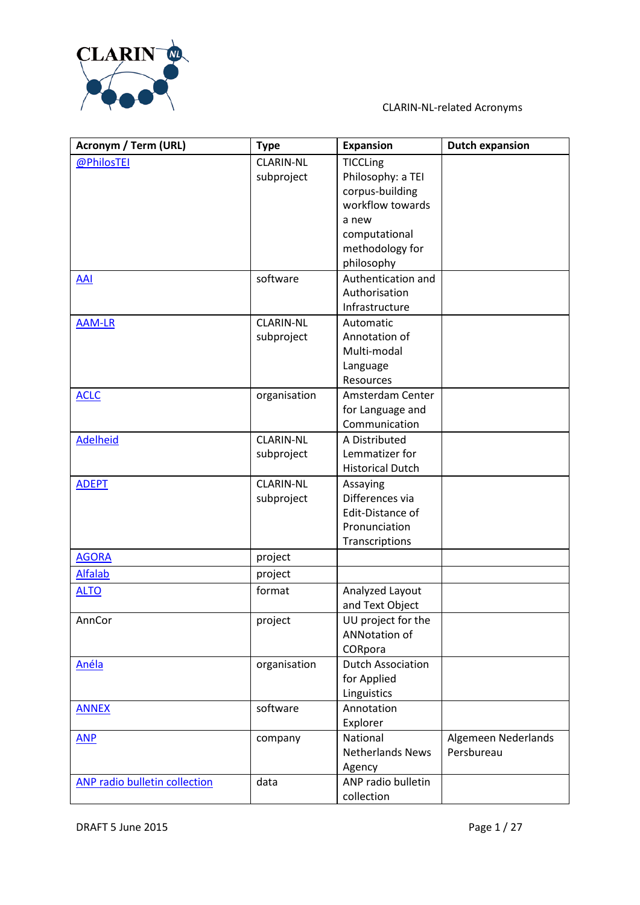

| Acronym / Term (URL)                 | <b>Type</b>      | <b>Expansion</b>         | <b>Dutch expansion</b> |
|--------------------------------------|------------------|--------------------------|------------------------|
| @PhilosTEI                           | <b>CLARIN-NL</b> | <b>TICCLing</b>          |                        |
|                                      | subproject       | Philosophy: a TEI        |                        |
|                                      |                  | corpus-building          |                        |
|                                      |                  | workflow towards         |                        |
|                                      |                  | a new                    |                        |
|                                      |                  | computational            |                        |
|                                      |                  | methodology for          |                        |
|                                      |                  | philosophy               |                        |
| <b>AAI</b>                           | software         | Authentication and       |                        |
|                                      |                  | Authorisation            |                        |
|                                      |                  | Infrastructure           |                        |
| <b>AAM-LR</b>                        | <b>CLARIN-NL</b> | Automatic                |                        |
|                                      | subproject       | Annotation of            |                        |
|                                      |                  | Multi-modal              |                        |
|                                      |                  | Language                 |                        |
|                                      |                  | Resources                |                        |
| <b>ACLC</b>                          | organisation     | Amsterdam Center         |                        |
|                                      |                  | for Language and         |                        |
|                                      |                  | Communication            |                        |
| <b>Adelheid</b>                      | <b>CLARIN-NL</b> | A Distributed            |                        |
|                                      | subproject       | Lemmatizer for           |                        |
|                                      |                  | <b>Historical Dutch</b>  |                        |
| <b>ADEPT</b>                         | <b>CLARIN-NL</b> | Assaying                 |                        |
|                                      | subproject       | Differences via          |                        |
|                                      |                  | Edit-Distance of         |                        |
|                                      |                  | Pronunciation            |                        |
|                                      |                  | Transcriptions           |                        |
| <b>AGORA</b>                         | project          |                          |                        |
| <b>Alfalab</b>                       | project          |                          |                        |
| <b>ALTO</b>                          | format           | Analyzed Layout          |                        |
|                                      |                  | and Text Object          |                        |
| AnnCor                               | project          | UU project for the       |                        |
|                                      |                  | ANNotation of            |                        |
|                                      |                  | CORpora                  |                        |
| Anéla                                | organisation     | <b>Dutch Association</b> |                        |
|                                      |                  | for Applied              |                        |
|                                      |                  | Linguistics              |                        |
| <b>ANNEX</b>                         | software         | Annotation               |                        |
|                                      |                  | Explorer                 |                        |
| <b>ANP</b>                           | company          | National                 | Algemeen Nederlands    |
|                                      |                  | <b>Netherlands News</b>  | Persbureau             |
|                                      |                  | Agency                   |                        |
| <b>ANP radio bulletin collection</b> | data             | ANP radio bulletin       |                        |
|                                      |                  | collection               |                        |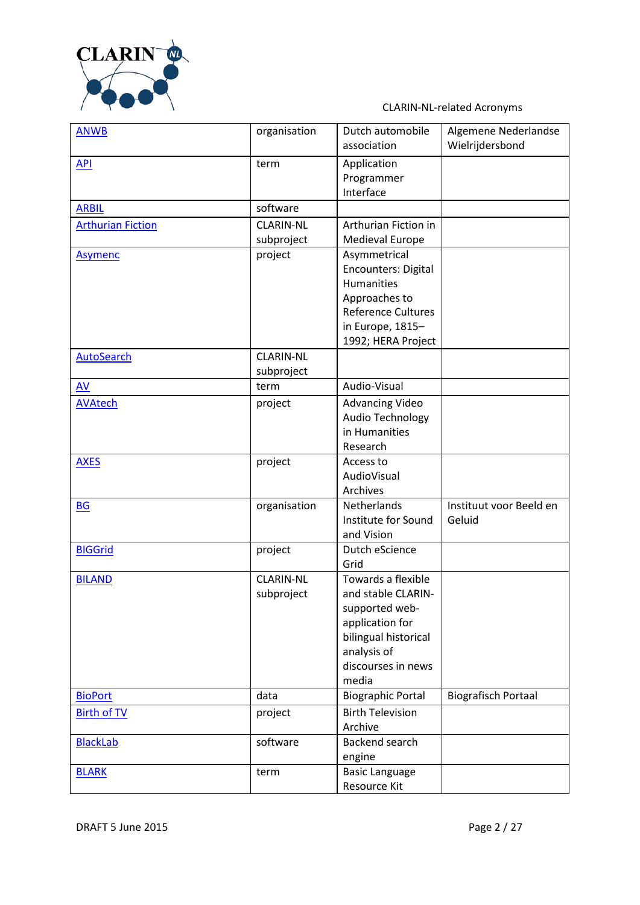

| <b>ANWB</b>              | organisation                   | Dutch automobile<br>association                                                                                                                         | Algemene Nederlandse<br>Wielrijdersbond |
|--------------------------|--------------------------------|---------------------------------------------------------------------------------------------------------------------------------------------------------|-----------------------------------------|
| <b>API</b>               | term                           | Application<br>Programmer<br>Interface                                                                                                                  |                                         |
| <b>ARBIL</b>             | software                       |                                                                                                                                                         |                                         |
| <b>Arthurian Fiction</b> | <b>CLARIN-NL</b><br>subproject | Arthurian Fiction in<br>Medieval Europe                                                                                                                 |                                         |
| <b>Asymenc</b>           | project                        | Asymmetrical<br><b>Encounters: Digital</b><br><b>Humanities</b><br>Approaches to<br><b>Reference Cultures</b><br>in Europe, 1815-<br>1992; HERA Project |                                         |
| <b>AutoSearch</b>        | <b>CLARIN-NL</b><br>subproject |                                                                                                                                                         |                                         |
| AV                       | term                           | Audio-Visual                                                                                                                                            |                                         |
| <b>AVAtech</b>           | project                        | <b>Advancing Video</b><br><b>Audio Technology</b><br>in Humanities<br>Research                                                                          |                                         |
| <b>AXES</b>              | project                        | Access to<br>AudioVisual<br>Archives                                                                                                                    |                                         |
| <b>BG</b>                | organisation                   | Netherlands<br>Institute for Sound<br>and Vision                                                                                                        | Instituut voor Beeld en<br>Geluid       |
| <b>BIGGrid</b>           | project                        | Dutch eScience<br>Grid                                                                                                                                  |                                         |
| <b>BILAND</b>            | <b>CLARIN-NL</b><br>subproject | Towards a flexible<br>and stable CLARIN-<br>supported web-<br>application for<br>bilingual historical<br>analysis of<br>discourses in news<br>media     |                                         |
| <b>BioPort</b>           | data                           | <b>Biographic Portal</b>                                                                                                                                | <b>Biografisch Portaal</b>              |
| <b>Birth of TV</b>       | project                        | <b>Birth Television</b><br>Archive                                                                                                                      |                                         |
| <b>BlackLab</b>          | software                       | Backend search<br>engine                                                                                                                                |                                         |
| <b>BLARK</b>             | term                           | <b>Basic Language</b><br>Resource Kit                                                                                                                   |                                         |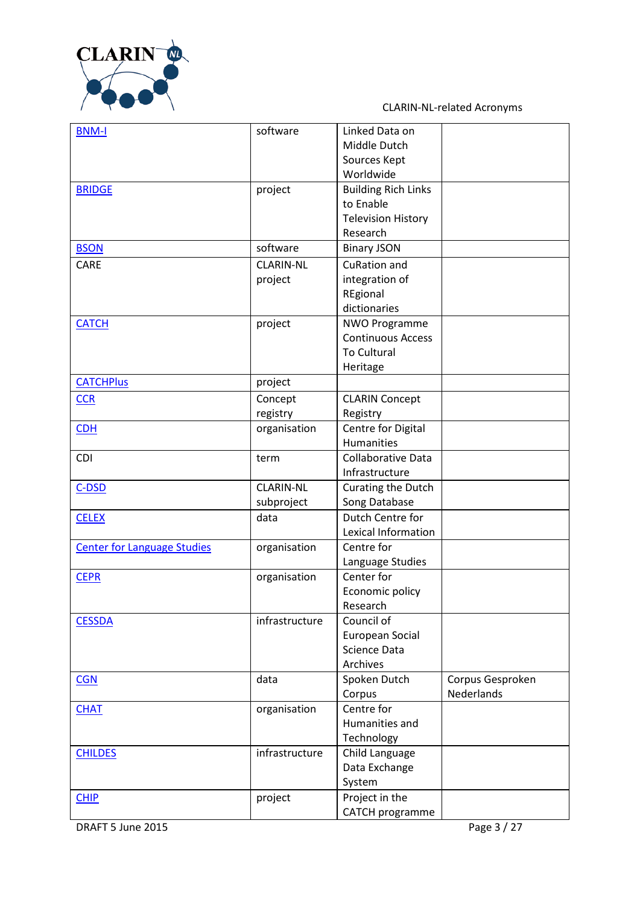

| <b>BNM-I</b>                       | software         | Linked Data on             |                  |
|------------------------------------|------------------|----------------------------|------------------|
|                                    |                  | Middle Dutch               |                  |
|                                    |                  | Sources Kept               |                  |
|                                    |                  | Worldwide                  |                  |
| <b>BRIDGE</b>                      | project          | <b>Building Rich Links</b> |                  |
|                                    |                  | to Enable                  |                  |
|                                    |                  | <b>Television History</b>  |                  |
|                                    |                  | Research                   |                  |
| <b>BSON</b>                        | software         | <b>Binary JSON</b>         |                  |
| CARE                               | <b>CLARIN-NL</b> | <b>CuRation and</b>        |                  |
|                                    | project          | integration of             |                  |
|                                    |                  | REgional                   |                  |
|                                    |                  | dictionaries               |                  |
| <b>CATCH</b>                       | project          | <b>NWO Programme</b>       |                  |
|                                    |                  | <b>Continuous Access</b>   |                  |
|                                    |                  | <b>To Cultural</b>         |                  |
|                                    |                  | Heritage                   |                  |
| <b>CATCHPlus</b>                   |                  |                            |                  |
|                                    | project          |                            |                  |
| <b>CCR</b>                         | Concept          | <b>CLARIN Concept</b>      |                  |
|                                    | registry         | Registry                   |                  |
| <b>CDH</b>                         | organisation     | Centre for Digital         |                  |
|                                    |                  | <b>Humanities</b>          |                  |
| CDI                                | term             | <b>Collaborative Data</b>  |                  |
|                                    |                  | Infrastructure             |                  |
| $C$ -DSD                           | <b>CLARIN-NL</b> | Curating the Dutch         |                  |
|                                    | subproject       | Song Database              |                  |
| <b>CELEX</b>                       | data             | Dutch Centre for           |                  |
|                                    |                  | Lexical Information        |                  |
| <b>Center for Language Studies</b> | organisation     | Centre for                 |                  |
|                                    |                  | Language Studies           |                  |
| <b>CEPR</b>                        | organisation     | Center for                 |                  |
|                                    |                  | Economic policy            |                  |
|                                    |                  | Research                   |                  |
| <b>CESSDA</b>                      | infrastructure   | Council of                 |                  |
|                                    |                  | European Social            |                  |
|                                    |                  | Science Data               |                  |
|                                    |                  | Archives                   |                  |
| <b>CGN</b>                         | data             | Spoken Dutch               | Corpus Gesproken |
|                                    |                  | Corpus                     | Nederlands       |
| <b>CHAT</b>                        | organisation     | Centre for                 |                  |
|                                    |                  | Humanities and             |                  |
|                                    |                  | Technology                 |                  |
| <b>CHILDES</b>                     | infrastructure   | Child Language             |                  |
|                                    |                  | Data Exchange              |                  |
|                                    |                  | System                     |                  |
| <b>CHIP</b>                        | project          | Project in the             |                  |
|                                    |                  | CATCH programme            |                  |
|                                    |                  |                            |                  |

**DRAFT 5 June 2015** Page 3 / 27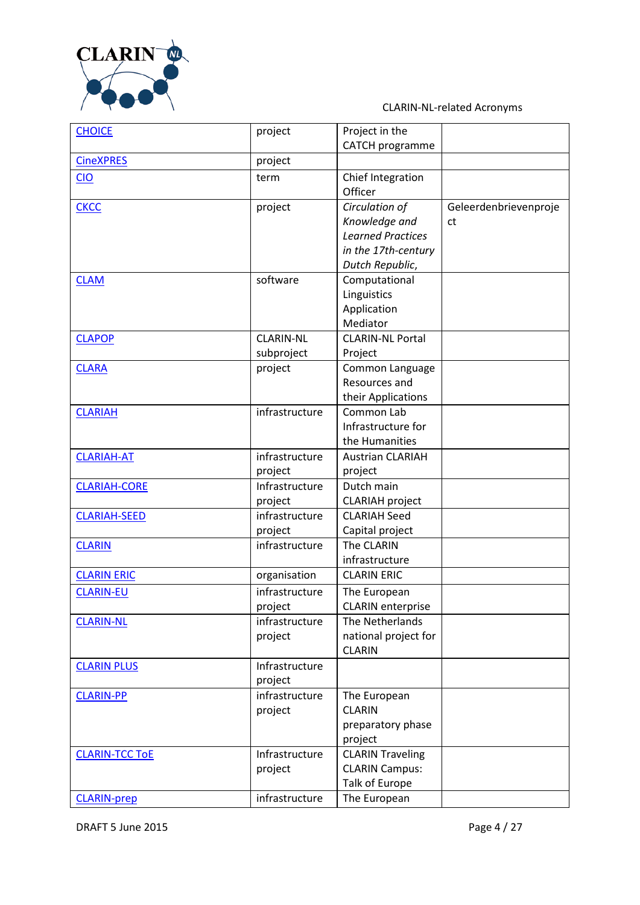

| <b>CHOICE</b>         | project          | Project in the           |                       |
|-----------------------|------------------|--------------------------|-----------------------|
|                       |                  | <b>CATCH programme</b>   |                       |
| <b>CineXPRES</b>      | project          |                          |                       |
| <b>CIO</b>            | term             | Chief Integration        |                       |
|                       |                  | Officer                  |                       |
| <b>CKCC</b>           | project          | Circulation of           | Geleerdenbrievenproje |
|                       |                  | Knowledge and            | ct                    |
|                       |                  | <b>Learned Practices</b> |                       |
|                       |                  | in the 17th-century      |                       |
|                       |                  | Dutch Republic,          |                       |
| <b>CLAM</b>           | software         | Computational            |                       |
|                       |                  | Linguistics              |                       |
|                       |                  | Application              |                       |
|                       |                  | Mediator                 |                       |
| <b>CLAPOP</b>         | <b>CLARIN-NL</b> | <b>CLARIN-NL Portal</b>  |                       |
|                       | subproject       | Project                  |                       |
| <b>CLARA</b>          | project          | Common Language          |                       |
|                       |                  | Resources and            |                       |
|                       |                  | their Applications       |                       |
| <b>CLARIAH</b>        | infrastructure   | Common Lab               |                       |
|                       |                  | Infrastructure for       |                       |
|                       |                  | the Humanities           |                       |
| <b>CLARIAH-AT</b>     | infrastructure   | <b>Austrian CLARIAH</b>  |                       |
|                       | project          | project                  |                       |
| <b>CLARIAH-CORE</b>   | Infrastructure   | Dutch main               |                       |
|                       | project          | <b>CLARIAH</b> project   |                       |
| <b>CLARIAH-SEED</b>   | infrastructure   | <b>CLARIAH Seed</b>      |                       |
|                       | project          | Capital project          |                       |
| <b>CLARIN</b>         | infrastructure   | The CLARIN               |                       |
|                       |                  | infrastructure           |                       |
| <b>CLARIN ERIC</b>    | organisation     | <b>CLARIN ERIC</b>       |                       |
| <b>CLARIN-EU</b>      | infrastructure   | The European             |                       |
|                       | project          | <b>CLARIN</b> enterprise |                       |
| <b>CLARIN-NL</b>      | infrastructure   | The Netherlands          |                       |
|                       | project          | national project for     |                       |
|                       |                  | <b>CLARIN</b>            |                       |
| <b>CLARIN PLUS</b>    | Infrastructure   |                          |                       |
|                       | project          |                          |                       |
| <b>CLARIN-PP</b>      | infrastructure   | The European             |                       |
|                       | project          | <b>CLARIN</b>            |                       |
|                       |                  | preparatory phase        |                       |
|                       |                  | project                  |                       |
| <b>CLARIN-TCC TOE</b> | Infrastructure   | <b>CLARIN Traveling</b>  |                       |
|                       | project          | <b>CLARIN Campus:</b>    |                       |
|                       |                  | Talk of Europe           |                       |
| <b>CLARIN-prep</b>    | infrastructure   | The European             |                       |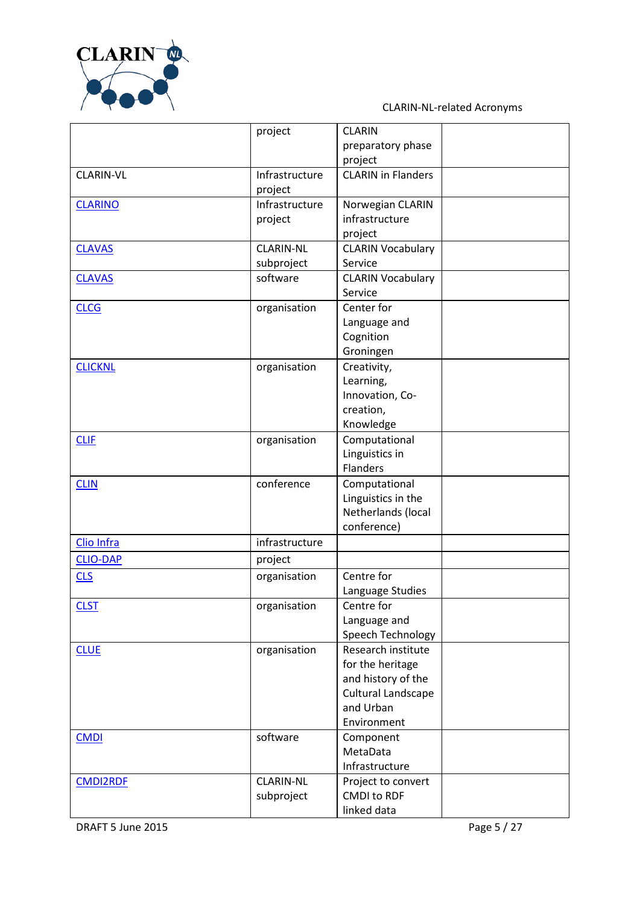

|                  | project          | <b>CLARIN</b>             |  |
|------------------|------------------|---------------------------|--|
|                  |                  | preparatory phase         |  |
|                  |                  | project                   |  |
| <b>CLARIN-VL</b> | Infrastructure   | <b>CLARIN</b> in Flanders |  |
|                  | project          |                           |  |
| <b>CLARINO</b>   | Infrastructure   | Norwegian CLARIN          |  |
|                  | project          | infrastructure            |  |
|                  |                  | project                   |  |
| <b>CLAVAS</b>    | <b>CLARIN-NL</b> | <b>CLARIN Vocabulary</b>  |  |
|                  | subproject       | Service                   |  |
| <b>CLAVAS</b>    | software         | <b>CLARIN Vocabulary</b>  |  |
|                  |                  | Service                   |  |
| <b>CLCG</b>      | organisation     | Center for                |  |
|                  |                  | Language and              |  |
|                  |                  | Cognition                 |  |
|                  |                  | Groningen                 |  |
| <b>CLICKNL</b>   | organisation     | Creativity,               |  |
|                  |                  | Learning,                 |  |
|                  |                  | Innovation, Co-           |  |
|                  |                  | creation,                 |  |
|                  |                  | Knowledge                 |  |
| <b>CLIF</b>      | organisation     | Computational             |  |
|                  |                  | Linguistics in            |  |
|                  |                  | <b>Flanders</b>           |  |
| <b>CLIN</b>      | conference       | Computational             |  |
|                  |                  | Linguistics in the        |  |
|                  |                  | Netherlands (local        |  |
|                  |                  | conference)               |  |
| Clio Infra       | infrastructure   |                           |  |
| <b>CLIO-DAP</b>  | project          |                           |  |
| <b>CLS</b>       | organisation     | Centre for                |  |
|                  |                  | Language Studies          |  |
| <b>CLST</b>      | organisation     | Centre for                |  |
|                  |                  | Language and              |  |
|                  |                  | Speech Technology         |  |
| <b>CLUE</b>      | organisation     | Research institute        |  |
|                  |                  | for the heritage          |  |
|                  |                  | and history of the        |  |
|                  |                  | Cultural Landscape        |  |
|                  |                  | and Urban                 |  |
|                  |                  | Environment               |  |
| <b>CMDI</b>      | software         | Component                 |  |
|                  |                  | MetaData                  |  |
|                  |                  | Infrastructure            |  |
| <b>CMDI2RDF</b>  | <b>CLARIN-NL</b> | Project to convert        |  |
|                  | subproject       | <b>CMDI to RDF</b>        |  |
|                  |                  | linked data               |  |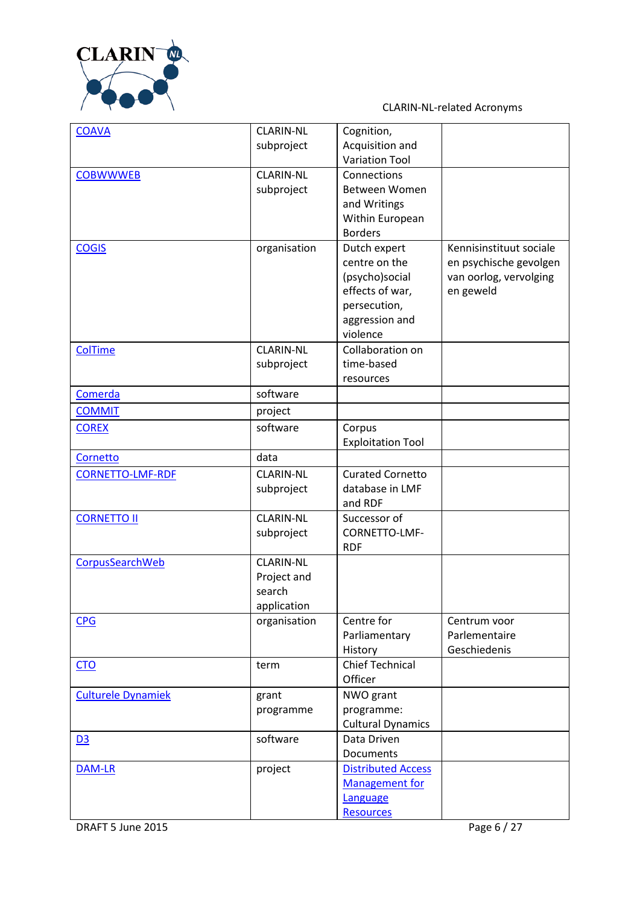

| <b>COAVA</b>              | <b>CLARIN-NL</b> | Cognition,                |                         |
|---------------------------|------------------|---------------------------|-------------------------|
|                           | subproject       | Acquisition and           |                         |
|                           |                  | <b>Variation Tool</b>     |                         |
| <b>COBWWWEB</b>           | <b>CLARIN-NL</b> | Connections               |                         |
|                           | subproject       | Between Women             |                         |
|                           |                  | and Writings              |                         |
|                           |                  | Within European           |                         |
|                           |                  | <b>Borders</b>            |                         |
| <b>COGIS</b>              | organisation     | Dutch expert              | Kennisinstituut sociale |
|                           |                  | centre on the             | en psychische gevolgen  |
|                           |                  | (psycho)social            | van oorlog, vervolging  |
|                           |                  | effects of war,           | en geweld               |
|                           |                  | persecution,              |                         |
|                           |                  | aggression and            |                         |
|                           |                  | violence                  |                         |
| ColTime                   | <b>CLARIN-NL</b> | Collaboration on          |                         |
|                           | subproject       | time-based                |                         |
|                           |                  | resources                 |                         |
| Comerda                   | software         |                           |                         |
| <b>COMMIT</b>             | project          |                           |                         |
| <b>COREX</b>              | software         | Corpus                    |                         |
|                           |                  | <b>Exploitation Tool</b>  |                         |
| Cornetto                  | data             |                           |                         |
| <b>CORNETTO-LMF-RDF</b>   | <b>CLARIN-NL</b> | <b>Curated Cornetto</b>   |                         |
|                           | subproject       | database in LMF           |                         |
|                           |                  | and RDF                   |                         |
| <b>CORNETTO II</b>        | <b>CLARIN-NL</b> | Successor of              |                         |
|                           | subproject       | CORNETTO-LMF-             |                         |
|                           |                  | <b>RDF</b>                |                         |
| CorpusSearchWeb           | <b>CLARIN-NL</b> |                           |                         |
|                           | Project and      |                           |                         |
|                           | search           |                           |                         |
|                           | application      |                           |                         |
| <b>CPG</b>                | organisation     | Centre for                | Centrum voor            |
|                           |                  | Parliamentary             | Parlementaire           |
|                           |                  | History                   | Geschiedenis            |
| CTO                       | term             | <b>Chief Technical</b>    |                         |
|                           |                  | Officer                   |                         |
| <b>Culturele Dynamiek</b> | grant            | NWO grant                 |                         |
|                           | programme        | programme:                |                         |
|                           |                  | <b>Cultural Dynamics</b>  |                         |
| D3                        | software         | Data Driven               |                         |
|                           |                  | Documents                 |                         |
| DAM-LR                    | project          | <b>Distributed Access</b> |                         |
|                           |                  | <b>Management for</b>     |                         |
|                           |                  | Language                  |                         |
|                           |                  | <b>Resources</b>          |                         |

**DRAFT 5 June 2015** Page 6 / 27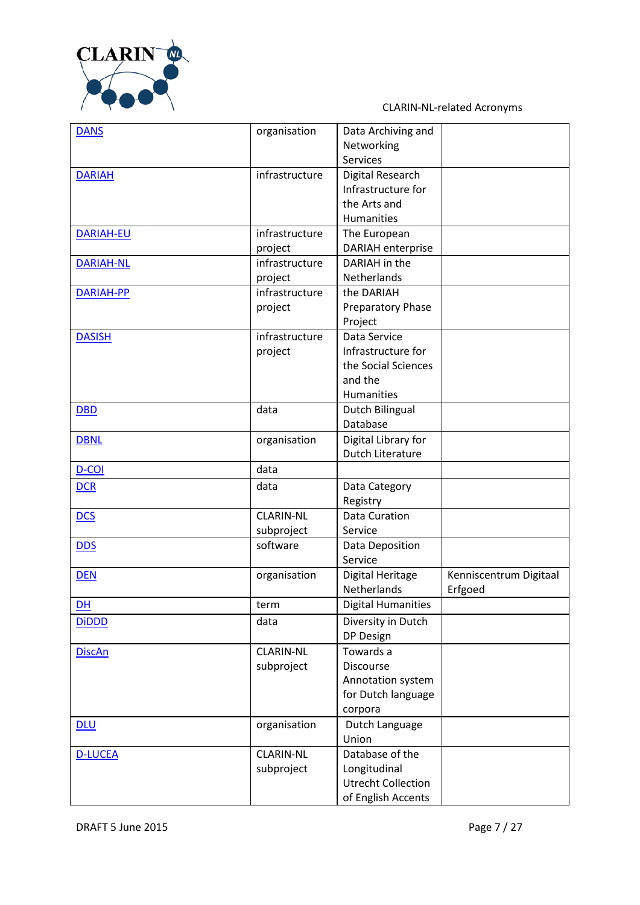

| <b>DANS</b>      | organisation     | Data Archiving and        |                        |
|------------------|------------------|---------------------------|------------------------|
|                  |                  | Networking                |                        |
|                  |                  | <b>Services</b>           |                        |
| <b>DARIAH</b>    | infrastructure   | Digital Research          |                        |
|                  |                  | Infrastructure for        |                        |
|                  |                  | the Arts and              |                        |
|                  |                  | Humanities                |                        |
| DARIAH-EU        | infrastructure   | The European              |                        |
|                  | project          | <b>DARIAH</b> enterprise  |                        |
| <b>DARIAH-NL</b> | infrastructure   | DARIAH in the             |                        |
|                  | project          | Netherlands               |                        |
| <b>DARIAH-PP</b> | infrastructure   | the DARIAH                |                        |
|                  | project          | Preparatory Phase         |                        |
|                  |                  | Project                   |                        |
| <b>DASISH</b>    | infrastructure   | Data Service              |                        |
|                  | project          | Infrastructure for        |                        |
|                  |                  | the Social Sciences       |                        |
|                  |                  | and the                   |                        |
|                  |                  | Humanities                |                        |
| <b>DBD</b>       | data             | Dutch Bilingual           |                        |
|                  |                  | Database                  |                        |
| <b>DBNL</b>      | organisation     | Digital Library for       |                        |
|                  |                  | Dutch Literature          |                        |
| D-COI            | data             |                           |                        |
| <b>DCR</b>       | data             | Data Category             |                        |
|                  |                  | Registry                  |                        |
| <b>DCS</b>       | <b>CLARIN-NL</b> | Data Curation             |                        |
|                  | subproject       | Service                   |                        |
| <b>DDS</b>       | software         | Data Deposition           |                        |
|                  |                  | Service                   |                        |
| <b>DEN</b>       | organisation     | Digital Heritage          | Kenniscentrum Digitaal |
|                  |                  | Netherlands               | Erfgoed                |
| <b>DH</b>        | term             | <b>Digital Humanities</b> |                        |
| <b>DiDDD</b>     | data             | Diversity in Dutch        |                        |
|                  |                  | DP Design                 |                        |
| <b>DiscAn</b>    | <b>CLARIN-NL</b> | Towards a                 |                        |
|                  | subproject       | <b>Discourse</b>          |                        |
|                  |                  | Annotation system         |                        |
|                  |                  | for Dutch language        |                        |
|                  |                  | corpora                   |                        |
| <b>DLU</b>       | organisation     | Dutch Language            |                        |
|                  |                  | Union                     |                        |
| <b>D-LUCEA</b>   | <b>CLARIN-NL</b> | Database of the           |                        |
|                  | subproject       | Longitudinal              |                        |
|                  |                  | <b>Utrecht Collection</b> |                        |
|                  |                  | of English Accents        |                        |
|                  |                  |                           |                        |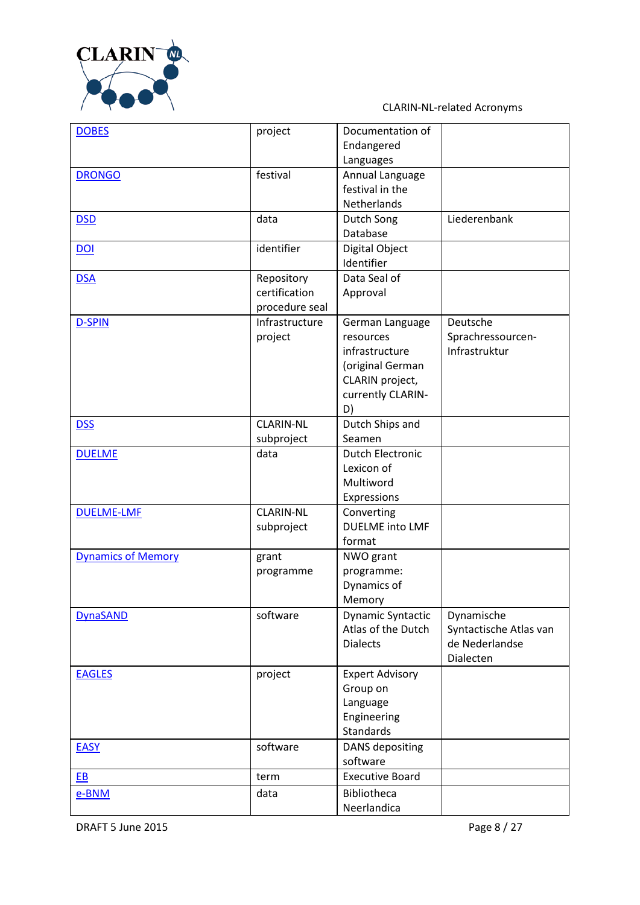

| <b>DOBES</b>              | project          | Documentation of        |                        |
|---------------------------|------------------|-------------------------|------------------------|
|                           |                  | Endangered              |                        |
|                           |                  | Languages               |                        |
| <b>DRONGO</b>             | festival         | Annual Language         |                        |
|                           |                  | festival in the         |                        |
|                           |                  | Netherlands             |                        |
| <b>DSD</b>                | data             | Dutch Song              | Liederenbank           |
|                           |                  | Database                |                        |
| <b>DOI</b>                | identifier       | Digital Object          |                        |
|                           |                  | Identifier              |                        |
| <b>DSA</b>                | Repository       | Data Seal of            |                        |
|                           | certification    | Approval                |                        |
|                           | procedure seal   |                         |                        |
| <b>D-SPIN</b>             | Infrastructure   | German Language         | Deutsche               |
|                           | project          | resources               | Sprachressourcen-      |
|                           |                  | infrastructure          | Infrastruktur          |
|                           |                  | (original German        |                        |
|                           |                  | CLARIN project,         |                        |
|                           |                  | currently CLARIN-       |                        |
|                           |                  | D)                      |                        |
| <b>DSS</b>                | <b>CLARIN-NL</b> | Dutch Ships and         |                        |
|                           | subproject       | Seamen                  |                        |
| <b>DUELME</b>             | data             | <b>Dutch Electronic</b> |                        |
|                           |                  | Lexicon of              |                        |
|                           |                  | Multiword               |                        |
|                           |                  | Expressions             |                        |
| <b>DUELME-LMF</b>         | <b>CLARIN-NL</b> | Converting              |                        |
|                           | subproject       | <b>DUELME</b> into LMF  |                        |
|                           |                  | format                  |                        |
| <b>Dynamics of Memory</b> | grant            | NWO grant               |                        |
|                           | programme        | programme:              |                        |
|                           |                  | Dynamics of             |                        |
|                           |                  | Memory                  |                        |
| <b>DynaSAND</b>           | software         | Dynamic Syntactic       | Dynamische             |
|                           |                  | Atlas of the Dutch      | Syntactische Atlas van |
|                           |                  | <b>Dialects</b>         | de Nederlandse         |
|                           |                  |                         | Dialecten              |
| <b>EAGLES</b>             | project          | <b>Expert Advisory</b>  |                        |
|                           |                  | Group on                |                        |
|                           |                  | Language                |                        |
|                           |                  | Engineering             |                        |
|                           |                  | Standards               |                        |
| <b>EASY</b>               | software         | <b>DANS</b> depositing  |                        |
|                           |                  | software                |                        |
| EB                        | term             | <b>Executive Board</b>  |                        |
| e-BNM                     | data             | Bibliotheca             |                        |
|                           |                  | Neerlandica             |                        |
|                           |                  |                         |                        |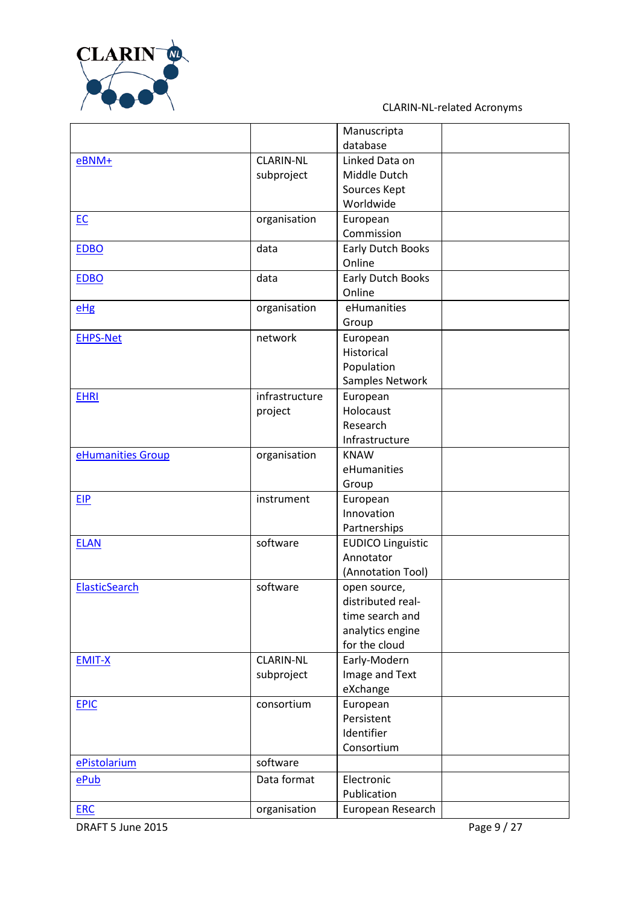

|                   |                  | Manuscripta              |  |
|-------------------|------------------|--------------------------|--|
|                   |                  | database                 |  |
| $e$ BNM+          | <b>CLARIN-NL</b> | Linked Data on           |  |
|                   | subproject       | Middle Dutch             |  |
|                   |                  | Sources Kept             |  |
|                   |                  | Worldwide                |  |
| EC                | organisation     | European                 |  |
|                   |                  | Commission               |  |
| <b>EDBO</b>       | data             | Early Dutch Books        |  |
|                   |                  | Online                   |  |
| <b>EDBO</b>       | data             | Early Dutch Books        |  |
|                   |                  | Online                   |  |
| $e$ Hg            | organisation     | eHumanities              |  |
|                   |                  | Group                    |  |
| <b>EHPS-Net</b>   | network          | European                 |  |
|                   |                  | Historical               |  |
|                   |                  | Population               |  |
|                   |                  | Samples Network          |  |
| <b>EHRI</b>       | infrastructure   | European                 |  |
|                   | project          | Holocaust                |  |
|                   |                  | Research                 |  |
|                   |                  | Infrastructure           |  |
| eHumanities Group | organisation     | <b>KNAW</b>              |  |
|                   |                  | eHumanities              |  |
|                   |                  | Group                    |  |
| <b>EIP</b>        | instrument       | European                 |  |
|                   |                  | Innovation               |  |
|                   |                  | Partnerships             |  |
| <b>ELAN</b>       | software         | <b>EUDICO Linguistic</b> |  |
|                   |                  | Annotator                |  |
|                   |                  | (Annotation Tool)        |  |
| ElasticSearch     | software         | open source,             |  |
|                   |                  | distributed real-        |  |
|                   |                  | time search and          |  |
|                   |                  | analytics engine         |  |
|                   |                  | for the cloud            |  |
| <b>EMIT-X</b>     | <b>CLARIN-NL</b> | Early-Modern             |  |
|                   | subproject       | Image and Text           |  |
|                   |                  | eXchange                 |  |
| <b>EPIC</b>       | consortium       | European                 |  |
|                   |                  | Persistent               |  |
|                   |                  | Identifier               |  |
|                   |                  | Consortium               |  |
| ePistolarium      | software         |                          |  |
| ePub              | Data format      | Electronic               |  |
|                   |                  | Publication              |  |
| <b>ERC</b>        | organisation     | European Research        |  |
|                   |                  |                          |  |

DRAFT 5 June 2015 **Page 9 / 27**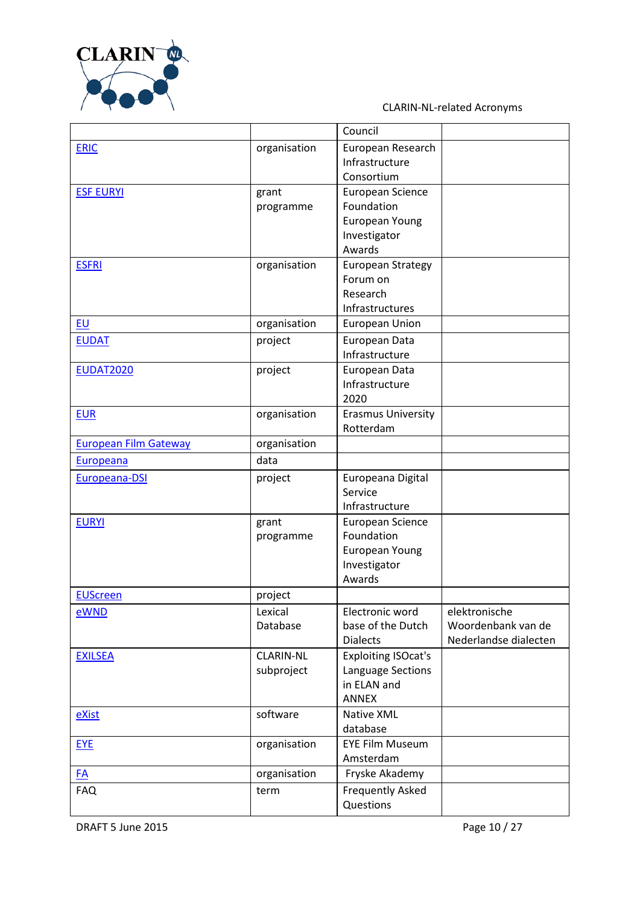

|                              |                  | Council                    |                       |
|------------------------------|------------------|----------------------------|-----------------------|
| <b>ERIC</b>                  | organisation     | European Research          |                       |
|                              |                  | Infrastructure             |                       |
|                              |                  | Consortium                 |                       |
| <b>ESF EURYI</b>             | grant            | European Science           |                       |
|                              | programme        | Foundation                 |                       |
|                              |                  | <b>European Young</b>      |                       |
|                              |                  | Investigator               |                       |
|                              |                  | Awards                     |                       |
| <b>ESFRI</b>                 | organisation     | <b>European Strategy</b>   |                       |
|                              |                  | Forum on                   |                       |
|                              |                  | Research                   |                       |
|                              |                  | Infrastructures            |                       |
| <b>EU</b>                    | organisation     | European Union             |                       |
| <b>EUDAT</b>                 | project          | European Data              |                       |
|                              |                  | Infrastructure             |                       |
| <b>EUDAT2020</b>             | project          | European Data              |                       |
|                              |                  | Infrastructure             |                       |
|                              |                  | 2020                       |                       |
| <b>EUR</b>                   | organisation     | <b>Erasmus University</b>  |                       |
|                              |                  | Rotterdam                  |                       |
| <b>European Film Gateway</b> | organisation     |                            |                       |
|                              | data             |                            |                       |
| Europeana                    |                  |                            |                       |
| Europeana-DSI                | project          | Europeana Digital          |                       |
|                              |                  | Service                    |                       |
|                              |                  | Infrastructure             |                       |
| <b>EURYI</b>                 | grant            | European Science           |                       |
|                              | programme        | Foundation                 |                       |
|                              |                  | <b>European Young</b>      |                       |
|                              |                  | Investigator               |                       |
|                              |                  | Awards                     |                       |
| <b>EUScreen</b>              | project          |                            |                       |
| eWND                         | Lexical          | Electronic word            | elektronische         |
|                              | Database         | base of the Dutch          | Woordenbank van de    |
|                              |                  | <b>Dialects</b>            | Nederlandse dialecten |
| <b>EXILSEA</b>               | <b>CLARIN-NL</b> | <b>Exploiting ISOcat's</b> |                       |
|                              | subproject       | Language Sections          |                       |
|                              |                  | in ELAN and                |                       |
|                              |                  | <b>ANNEX</b>               |                       |
| eXist                        | software         | Native XML                 |                       |
|                              |                  | database                   |                       |
| <b>EYE</b>                   | organisation     | <b>EYE Film Museum</b>     |                       |
|                              |                  | Amsterdam                  |                       |
| FA                           | organisation     | Fryske Akademy             |                       |
| <b>FAQ</b>                   | term             | <b>Frequently Asked</b>    |                       |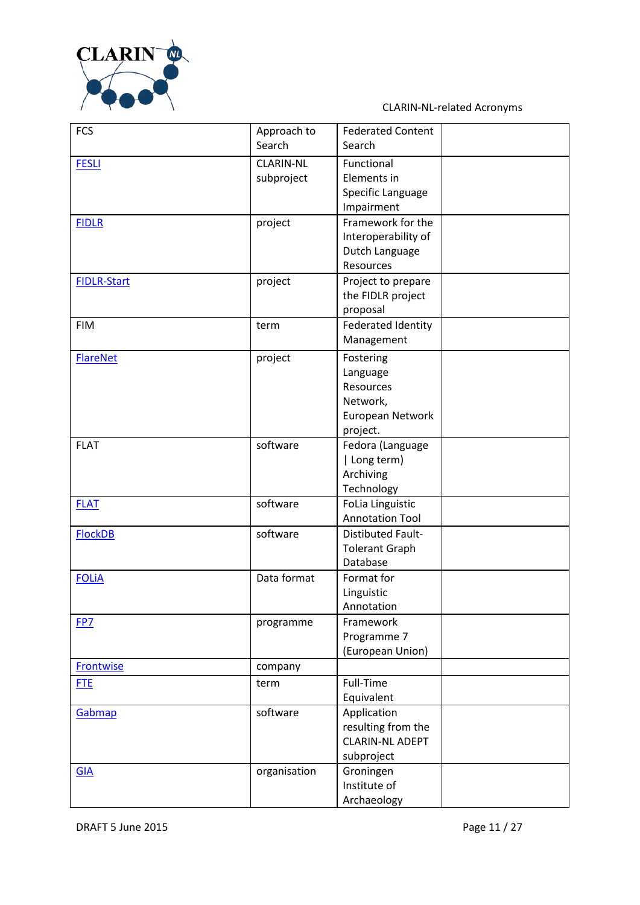

| <b>FCS</b>         | Approach to      | <b>Federated Content</b>  |  |
|--------------------|------------------|---------------------------|--|
|                    | Search           | Search                    |  |
| <b>FESLI</b>       | <b>CLARIN-NL</b> | Functional                |  |
|                    | subproject       | Elements in               |  |
|                    |                  | Specific Language         |  |
|                    |                  | Impairment                |  |
| <b>FIDLR</b>       | project          | Framework for the         |  |
|                    |                  | Interoperability of       |  |
|                    |                  | Dutch Language            |  |
|                    |                  | Resources                 |  |
| <b>FIDLR-Start</b> | project          | Project to prepare        |  |
|                    |                  | the FIDLR project         |  |
|                    |                  | proposal                  |  |
| <b>FIM</b>         | term             | <b>Federated Identity</b> |  |
|                    |                  | Management                |  |
| <b>FlareNet</b>    | project          | Fostering                 |  |
|                    |                  | Language                  |  |
|                    |                  | Resources                 |  |
|                    |                  | Network,                  |  |
|                    |                  | European Network          |  |
|                    |                  | project.                  |  |
| <b>FLAT</b>        | software         | Fedora (Language          |  |
|                    |                  | Long term)                |  |
|                    |                  | Archiving                 |  |
|                    |                  | Technology                |  |
| <b>FLAT</b>        | software         | FoLia Linguistic          |  |
|                    |                  | <b>Annotation Tool</b>    |  |
| <b>FlockDB</b>     | software         | <b>Distibuted Fault-</b>  |  |
|                    |                  | <b>Tolerant Graph</b>     |  |
|                    |                  | Database                  |  |
| <b>FOLIA</b>       | Data format      | Format for                |  |
|                    |                  | Linguistic                |  |
| FP7                |                  | Annotation<br>Framework   |  |
|                    | programme        | Programme 7               |  |
|                    |                  | (European Union)          |  |
| <b>Frontwise</b>   | company          |                           |  |
|                    |                  |                           |  |
| <b>FTE</b>         | term             | Full-Time                 |  |
|                    |                  | Equivalent                |  |
| Gabmap             | software         | Application               |  |
|                    |                  | resulting from the        |  |
|                    |                  | <b>CLARIN-NL ADEPT</b>    |  |
|                    |                  | subproject                |  |
| <b>GIA</b>         | organisation     | Groningen                 |  |
|                    |                  | Institute of              |  |
|                    |                  | Archaeology               |  |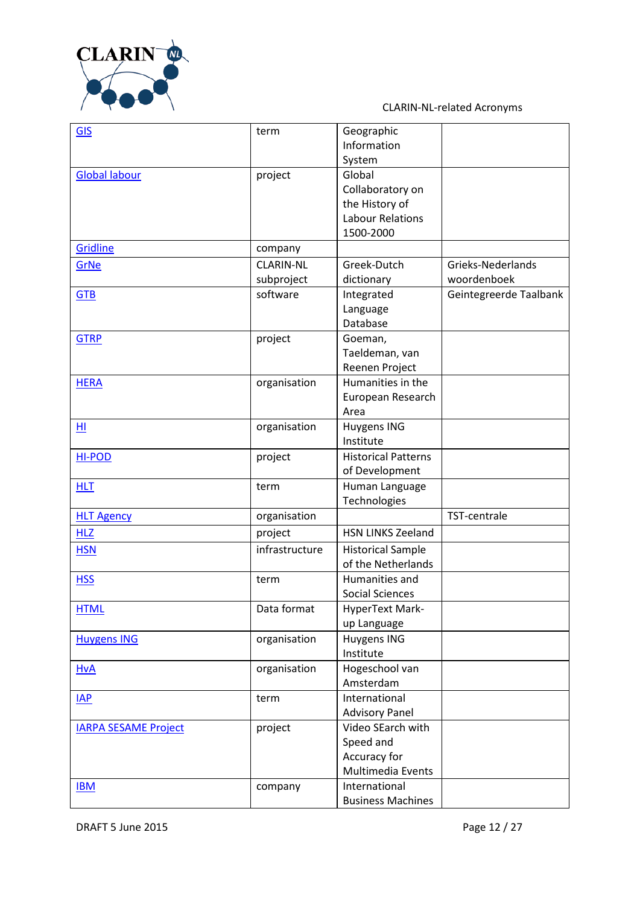

| <b>GIS</b>                  | term             | Geographic                 |                        |
|-----------------------------|------------------|----------------------------|------------------------|
|                             |                  | Information                |                        |
|                             |                  | System                     |                        |
| <b>Global labour</b>        | project          | Global                     |                        |
|                             |                  | Collaboratory on           |                        |
|                             |                  | the History of             |                        |
|                             |                  | <b>Labour Relations</b>    |                        |
|                             |                  | 1500-2000                  |                        |
| Gridline                    | company          |                            |                        |
| GrNe                        | <b>CLARIN-NL</b> | Greek-Dutch                | Grieks-Nederlands      |
|                             | subproject       | dictionary                 | woordenboek            |
| <b>GTB</b>                  | software         | Integrated                 | Geintegreerde Taalbank |
|                             |                  | Language                   |                        |
|                             |                  | Database                   |                        |
| <b>GTRP</b>                 | project          | Goeman,                    |                        |
|                             |                  | Taeldeman, van             |                        |
|                             |                  | Reenen Project             |                        |
| <b>HERA</b>                 | organisation     | Humanities in the          |                        |
|                             |                  | European Research          |                        |
|                             |                  | Area                       |                        |
| HI                          | organisation     | Huygens ING                |                        |
|                             |                  | Institute                  |                        |
| <b>HI-POD</b>               | project          | <b>Historical Patterns</b> |                        |
|                             |                  | of Development             |                        |
| <b>HLT</b>                  | term             | Human Language             |                        |
|                             |                  | Technologies               |                        |
| <b>HLT Agency</b>           | organisation     |                            | TST-centrale           |
| <b>HLZ</b>                  | project          | <b>HSN LINKS Zeeland</b>   |                        |
| <b>HSN</b>                  | infrastructure   | <b>Historical Sample</b>   |                        |
|                             |                  | of the Netherlands         |                        |
| <b>HSS</b>                  | term             | Humanities and             |                        |
|                             |                  | <b>Social Sciences</b>     |                        |
| <b>HTML</b>                 | Data format      | HyperText Mark-            |                        |
|                             |                  | up Language                |                        |
| <b>Huygens ING</b>          | organisation     | Huygens ING                |                        |
|                             |                  | Institute                  |                        |
| <b>HvA</b>                  | organisation     | Hogeschool van             |                        |
|                             |                  | Amsterdam                  |                        |
| IAP                         | term             | International              |                        |
|                             |                  | <b>Advisory Panel</b>      |                        |
| <b>IARPA SESAME Project</b> | project          | Video SEarch with          |                        |
|                             |                  | Speed and                  |                        |
|                             |                  | Accuracy for               |                        |
|                             |                  | Multimedia Events          |                        |
| <b>IBM</b>                  | company          | International              |                        |
|                             |                  | <b>Business Machines</b>   |                        |
|                             |                  |                            |                        |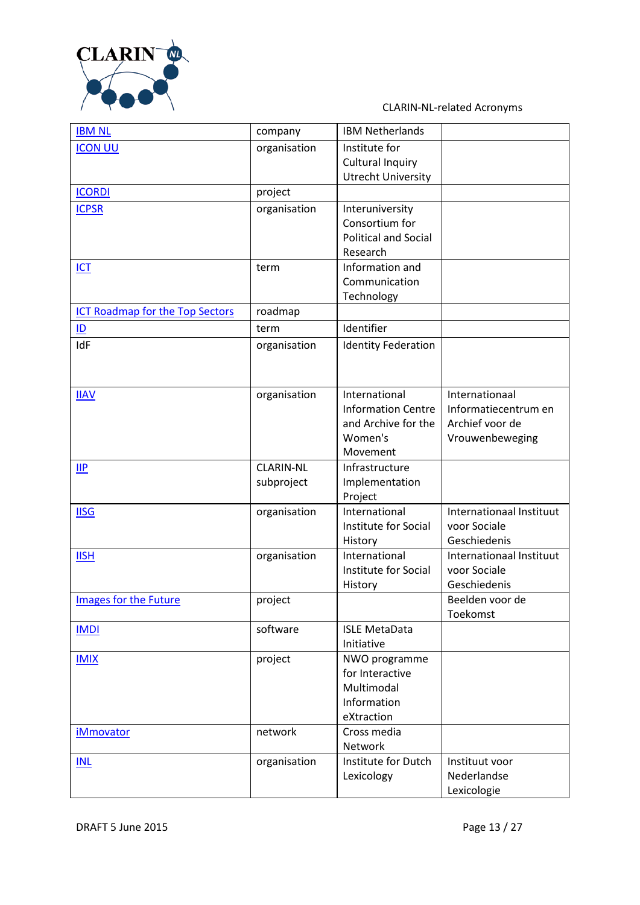

| <b>IBM NL</b>                          | company          | <b>IBM Netherlands</b>      |                            |
|----------------------------------------|------------------|-----------------------------|----------------------------|
| <b>ICON UU</b>                         | organisation     | Institute for               |                            |
|                                        |                  | <b>Cultural Inquiry</b>     |                            |
|                                        |                  | <b>Utrecht University</b>   |                            |
| <b>ICORDI</b>                          | project          |                             |                            |
| <b>ICPSR</b>                           | organisation     | Interuniversity             |                            |
|                                        |                  | Consortium for              |                            |
|                                        |                  | <b>Political and Social</b> |                            |
|                                        |                  | Research                    |                            |
| <b>ICT</b>                             | term             | Information and             |                            |
|                                        |                  | Communication               |                            |
|                                        |                  | Technology                  |                            |
| <b>ICT Roadmap for the Top Sectors</b> | roadmap          |                             |                            |
| ID                                     | term             | Identifier                  |                            |
| IdF                                    | organisation     | <b>Identity Federation</b>  |                            |
|                                        |                  |                             |                            |
|                                        |                  |                             |                            |
| <b>IIAV</b>                            | organisation     | International               | Internationaal             |
|                                        |                  | <b>Information Centre</b>   | Informatiecentrum en       |
|                                        |                  | and Archive for the         | Archief voor de            |
|                                        |                  | Women's                     | Vrouwenbeweging            |
|                                        |                  | Movement                    |                            |
| $\mathsf{II} \mathsf{P}$               | <b>CLARIN-NL</b> | Infrastructure              |                            |
|                                        | subproject       | Implementation              |                            |
|                                        |                  | Project                     |                            |
| <b>IISG</b>                            | organisation     | International               | Internationaal Instituut   |
|                                        |                  | Institute for Social        | voor Sociale               |
|                                        |                  | History                     | Geschiedenis               |
| <b>IISH</b>                            | organisation     | International               | Internationaal Instituut   |
|                                        |                  | Institute for Social        | voor Sociale               |
|                                        |                  | History                     | Geschiedenis               |
| Images for the Future                  | project          |                             | Beelden voor de            |
|                                        |                  |                             | Toekomst                   |
| <b>IMDI</b>                            | software         | <b>ISLE MetaData</b>        |                            |
|                                        |                  | Initiative                  |                            |
| <b>IMIX</b>                            | project          | NWO programme               |                            |
|                                        |                  | for Interactive             |                            |
|                                        |                  | Multimodal                  |                            |
|                                        |                  | Information                 |                            |
|                                        |                  | eXtraction                  |                            |
| <b>iMmovator</b>                       | network          | Cross media                 |                            |
|                                        |                  | Network                     |                            |
| INL                                    | organisation     | Institute for Dutch         | Instituut voor             |
|                                        |                  | Lexicology                  | Nederlandse<br>Lexicologie |
|                                        |                  |                             |                            |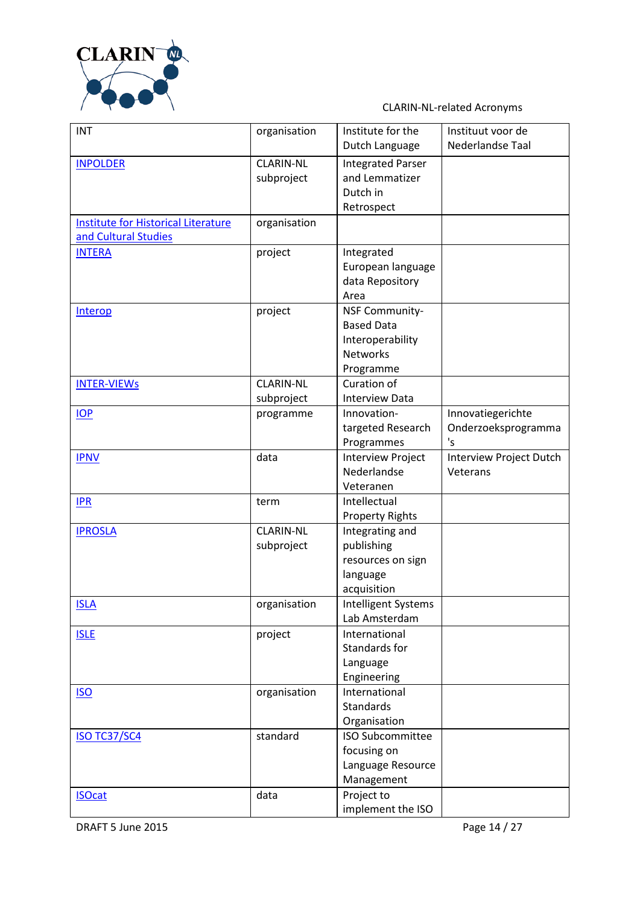

| <b>INT</b>                                 | organisation     | Institute for the        | Instituut voor de       |
|--------------------------------------------|------------------|--------------------------|-------------------------|
|                                            |                  | Dutch Language           | Nederlandse Taal        |
| <b>INPOLDER</b>                            | <b>CLARIN-NL</b> | <b>Integrated Parser</b> |                         |
|                                            | subproject       | and Lemmatizer           |                         |
|                                            |                  | Dutch in                 |                         |
|                                            |                  | Retrospect               |                         |
| <b>Institute for Historical Literature</b> | organisation     |                          |                         |
| and Cultural Studies                       |                  |                          |                         |
| <b>INTERA</b>                              | project          | Integrated               |                         |
|                                            |                  | European language        |                         |
|                                            |                  | data Repository          |                         |
|                                            |                  | Area                     |                         |
| Interop                                    | project          | <b>NSF Community-</b>    |                         |
|                                            |                  | <b>Based Data</b>        |                         |
|                                            |                  | Interoperability         |                         |
|                                            |                  | <b>Networks</b>          |                         |
|                                            |                  | Programme                |                         |
| <b>INTER-VIEWS</b>                         | <b>CLARIN-NL</b> | Curation of              |                         |
|                                            | subproject       | <b>Interview Data</b>    |                         |
| IOP                                        | programme        | Innovation-              | Innovatiegerichte       |
|                                            |                  | targeted Research        | Onderzoeksprogramma     |
|                                            |                  | Programmes               | 's                      |
| <b>IPNV</b>                                | data             | <b>Interview Project</b> | Interview Project Dutch |
|                                            |                  | Nederlandse              | Veterans                |
|                                            |                  | Veteranen                |                         |
| IPR                                        | term             | Intellectual             |                         |
|                                            |                  | <b>Property Rights</b>   |                         |
| <b>IPROSLA</b>                             | <b>CLARIN-NL</b> | Integrating and          |                         |
|                                            | subproject       | publishing               |                         |
|                                            |                  | resources on sign        |                         |
|                                            |                  | language                 |                         |
|                                            |                  | acquisition              |                         |
| <b>ISLA</b>                                | organisation     | Intelligent Systems      |                         |
|                                            |                  | Lab Amsterdam            |                         |
| <b>ISLE</b>                                | project          | International            |                         |
|                                            |                  | Standards for            |                         |
|                                            |                  | Language                 |                         |
|                                            |                  | Engineering              |                         |
| <b>ISO</b>                                 | organisation     | International            |                         |
|                                            |                  | <b>Standards</b>         |                         |
|                                            |                  | Organisation             |                         |
| <b>ISO TC37/SC4</b>                        | standard         | <b>ISO Subcommittee</b>  |                         |
|                                            |                  | focusing on              |                         |
|                                            |                  | Language Resource        |                         |
|                                            |                  | Management               |                         |
| <b>ISOcat</b>                              | data             | Project to               |                         |
|                                            |                  | implement the ISO        |                         |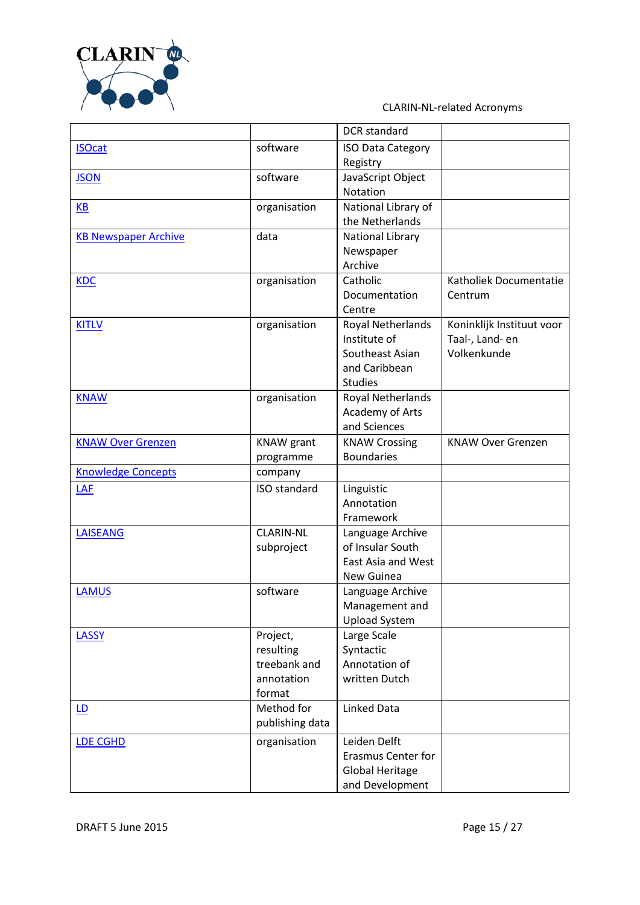

|                             |                           | <b>DCR</b> standard        |                           |
|-----------------------------|---------------------------|----------------------------|---------------------------|
| <b>ISOcat</b>               | software                  | <b>ISO Data Category</b>   |                           |
|                             |                           | Registry                   |                           |
| <b>JSON</b>                 | software                  | JavaScript Object          |                           |
|                             |                           | Notation                   |                           |
| <b>KB</b>                   | organisation              | National Library of        |                           |
|                             |                           | the Netherlands            |                           |
| <b>KB Newspaper Archive</b> | data                      | <b>National Library</b>    |                           |
|                             |                           | Newspaper                  |                           |
|                             |                           | Archive                    |                           |
| <b>KDC</b>                  | organisation              | Catholic                   | Katholiek Documentatie    |
|                             |                           | Documentation              | Centrum                   |
|                             |                           | Centre                     |                           |
| <b>KITLV</b>                | organisation              | Royal Netherlands          | Koninklijk Instituut voor |
|                             |                           | Institute of               | Taal-, Land- en           |
|                             |                           | Southeast Asian            | Volkenkunde               |
|                             |                           | and Caribbean              |                           |
|                             |                           | <b>Studies</b>             |                           |
| <b>KNAW</b>                 | organisation              | Royal Netherlands          |                           |
|                             |                           | Academy of Arts            |                           |
|                             |                           | and Sciences               |                           |
| <b>KNAW Over Grenzen</b>    | <b>KNAW</b> grant         | <b>KNAW Crossing</b>       | <b>KNAW Over Grenzen</b>  |
|                             | programme                 | <b>Boundaries</b>          |                           |
| <b>Knowledge Concepts</b>   | company                   |                            |                           |
| LAF                         | <b>ISO</b> standard       | Linguistic                 |                           |
|                             |                           | Annotation                 |                           |
|                             |                           | Framework                  |                           |
| <b>LAISEANG</b>             | <b>CLARIN-NL</b>          | Language Archive           |                           |
|                             | subproject                | of Insular South           |                           |
|                             |                           | East Asia and West         |                           |
|                             |                           | New Guinea                 |                           |
| <b>LAMUS</b>                | software                  | Language Archive           |                           |
|                             |                           | Management and             |                           |
|                             |                           | <b>Upload System</b>       |                           |
| <b>LASSY</b>                | Project,                  | Large Scale                |                           |
|                             | resulting<br>treebank and | Syntactic<br>Annotation of |                           |
|                             | annotation                | written Dutch              |                           |
|                             | format                    |                            |                           |
|                             | Method for                | <b>Linked Data</b>         |                           |
| LD                          | publishing data           |                            |                           |
|                             |                           |                            |                           |
| <b>LDE CGHD</b>             | organisation              | Leiden Delft               |                           |
|                             |                           | <b>Erasmus Center for</b>  |                           |
|                             |                           | <b>Global Heritage</b>     |                           |
|                             |                           | and Development            |                           |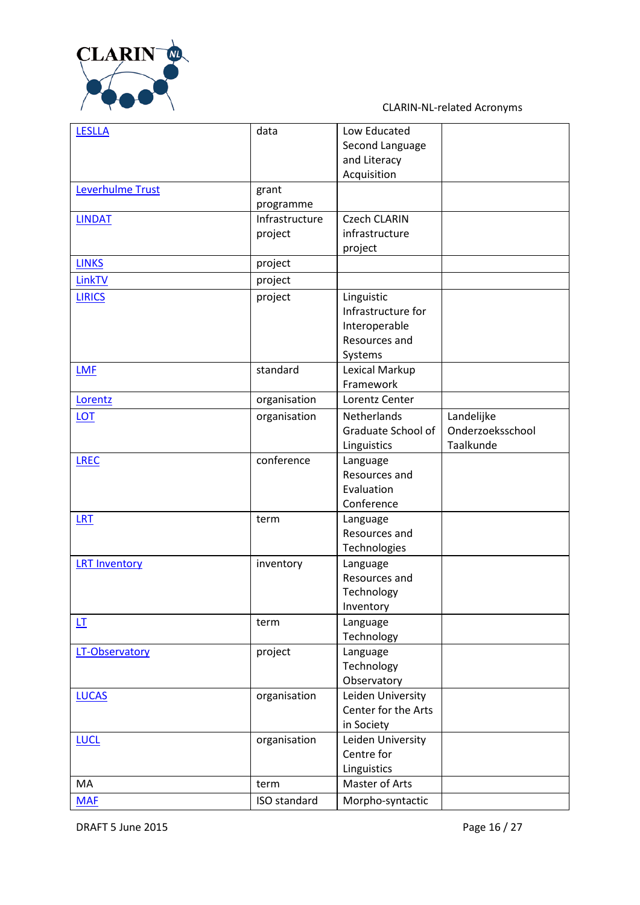

| <b>LESLLA</b>           | data           | Low Educated              |                  |
|-------------------------|----------------|---------------------------|------------------|
|                         |                | Second Language           |                  |
|                         |                | and Literacy              |                  |
|                         |                | Acquisition               |                  |
| <b>Leverhulme Trust</b> | grant          |                           |                  |
|                         | programme      |                           |                  |
| <b>LINDAT</b>           | Infrastructure | <b>Czech CLARIN</b>       |                  |
|                         | project        | infrastructure            |                  |
|                         |                | project                   |                  |
| <b>LINKS</b>            | project        |                           |                  |
| LinkTV                  | project        |                           |                  |
| <b>LIRICS</b>           | project        | Linguistic                |                  |
|                         |                | Infrastructure for        |                  |
|                         |                | Interoperable             |                  |
|                         |                | Resources and             |                  |
|                         |                | Systems                   |                  |
| <b>LMF</b>              | standard       | Lexical Markup            |                  |
|                         |                | Framework                 |                  |
| Lorentz                 | organisation   | Lorentz Center            |                  |
| <b>LOT</b>              | organisation   | Netherlands               | Landelijke       |
|                         |                | Graduate School of        | Onderzoeksschool |
|                         |                | Linguistics               | Taalkunde        |
| <b>LREC</b>             | conference     | Language                  |                  |
|                         |                | Resources and             |                  |
|                         |                | Evaluation                |                  |
|                         |                | Conference                |                  |
| <b>LRT</b>              | term           | Language                  |                  |
|                         |                | Resources and             |                  |
|                         |                |                           |                  |
|                         |                | Technologies              |                  |
| <b>LRT Inventory</b>    | inventory      | Language<br>Resources and |                  |
|                         |                |                           |                  |
|                         |                | Technology                |                  |
|                         |                | Inventory                 |                  |
| LT                      | term           | Language                  |                  |
|                         |                | Technology                |                  |
| LT-Observatory          | project        | Language                  |                  |
|                         |                | Technology                |                  |
|                         |                | Observatory               |                  |
| <b>LUCAS</b>            | organisation   | Leiden University         |                  |
|                         |                | Center for the Arts       |                  |
|                         |                | in Society                |                  |
| <b>LUCL</b>             | organisation   | Leiden University         |                  |
|                         |                | Centre for                |                  |
|                         |                | Linguistics               |                  |
| MA                      | term           | Master of Arts            |                  |
| <b>MAF</b>              | ISO standard   | Morpho-syntactic          |                  |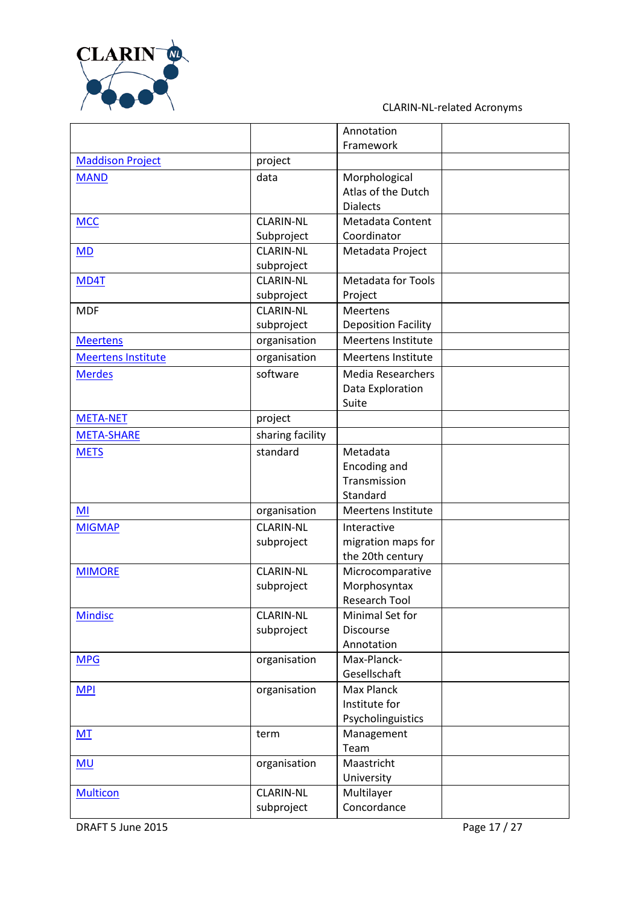

|                           |                  | Annotation                       |  |
|---------------------------|------------------|----------------------------------|--|
|                           |                  | Framework                        |  |
| <b>Maddison Project</b>   | project          |                                  |  |
| <b>MAND</b>               | data             | Morphological                    |  |
|                           |                  | Atlas of the Dutch               |  |
|                           |                  | <b>Dialects</b>                  |  |
| <b>MCC</b>                | <b>CLARIN-NL</b> | Metadata Content                 |  |
|                           | Subproject       | Coordinator                      |  |
| MD                        | <b>CLARIN-NL</b> | Metadata Project                 |  |
|                           | subproject       |                                  |  |
| MD4T                      | <b>CLARIN-NL</b> | <b>Metadata for Tools</b>        |  |
|                           | subproject       | Project                          |  |
| <b>MDF</b>                | <b>CLARIN-NL</b> | Meertens                         |  |
|                           | subproject       | <b>Deposition Facility</b>       |  |
| <b>Meertens</b>           | organisation     | <b>Meertens Institute</b>        |  |
| <b>Meertens Institute</b> | organisation     | <b>Meertens Institute</b>        |  |
| <b>Merdes</b>             | software         | <b>Media Researchers</b>         |  |
|                           |                  | Data Exploration                 |  |
|                           |                  | Suite                            |  |
| <b>META-NET</b>           | project          |                                  |  |
| <b>META-SHARE</b>         | sharing facility |                                  |  |
| <b>METS</b>               | standard         | Metadata                         |  |
|                           |                  | Encoding and                     |  |
|                           |                  | Transmission                     |  |
|                           |                  | Standard                         |  |
| MI                        | organisation     | <b>Meertens Institute</b>        |  |
| <b>MIGMAP</b>             | <b>CLARIN-NL</b> | Interactive                      |  |
|                           | subproject       | migration maps for               |  |
|                           | <b>CLARIN-NL</b> | the 20th century                 |  |
| <b>MIMORE</b>             | subproject       | Microcomparative<br>Morphosyntax |  |
|                           |                  | Research Tool                    |  |
| <b>Mindisc</b>            | <b>CLARIN-NL</b> | Minimal Set for                  |  |
|                           | subproject       | <b>Discourse</b>                 |  |
|                           |                  | Annotation                       |  |
| <b>MPG</b>                | organisation     | Max-Planck-                      |  |
|                           |                  | Gesellschaft                     |  |
| <b>MPI</b>                | organisation     | <b>Max Planck</b>                |  |
|                           |                  | Institute for                    |  |
|                           |                  | Psycholinguistics                |  |
| <b>MT</b>                 | term             | Management                       |  |
|                           |                  | Team                             |  |
| MU                        | organisation     | Maastricht                       |  |
|                           |                  | University                       |  |
| <b>Multicon</b>           | <b>CLARIN-NL</b> | Multilayer                       |  |
|                           | subproject       | Concordance                      |  |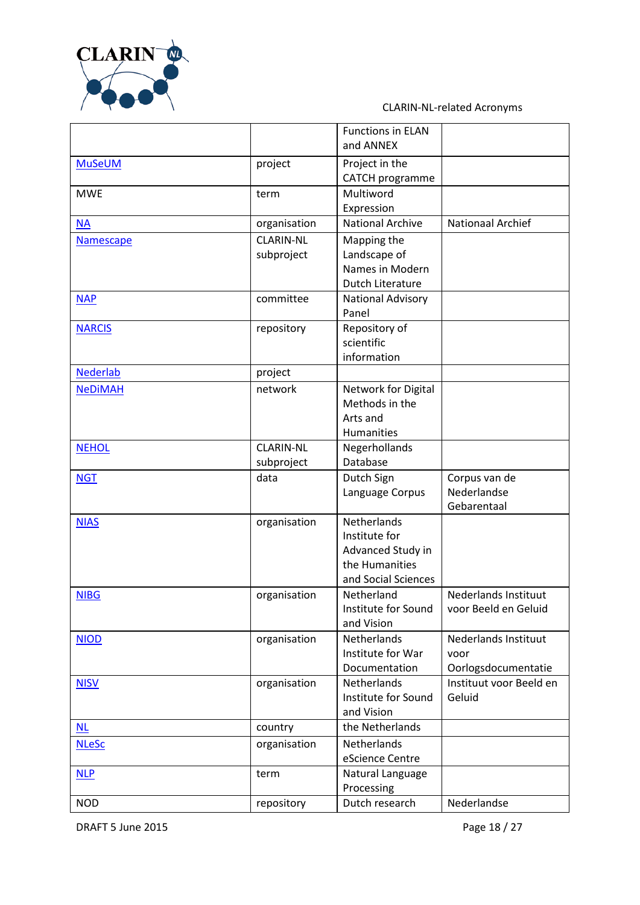

|                 |                                | <b>Functions in ELAN</b><br>and ANNEX                                                      |                                                            |
|-----------------|--------------------------------|--------------------------------------------------------------------------------------------|------------------------------------------------------------|
| <b>MuSeUM</b>   | project                        | Project in the<br>CATCH programme                                                          |                                                            |
| <b>MWE</b>      | term                           | Multiword<br>Expression                                                                    |                                                            |
| <b>NA</b>       | organisation                   | <b>National Archive</b>                                                                    | <b>Nationaal Archief</b>                                   |
| Namescape       | <b>CLARIN-NL</b><br>subproject | Mapping the<br>Landscape of<br>Names in Modern<br><b>Dutch Literature</b>                  |                                                            |
| <b>NAP</b>      | committee                      | National Advisory<br>Panel                                                                 |                                                            |
| <b>NARCIS</b>   | repository                     | Repository of<br>scientific<br>information                                                 |                                                            |
| <b>Nederlab</b> | project                        |                                                                                            |                                                            |
| <b>NeDiMAH</b>  | network                        | Network for Digital<br>Methods in the<br>Arts and<br><b>Humanities</b>                     |                                                            |
| <b>NEHOL</b>    | <b>CLARIN-NL</b><br>subproject | Negerhollands<br>Database                                                                  |                                                            |
| <b>NGT</b>      | data                           | Dutch Sign<br>Language Corpus                                                              | Corpus van de<br>Nederlandse<br>Gebarentaal                |
| <b>NIAS</b>     | organisation                   | Netherlands<br>Institute for<br>Advanced Study in<br>the Humanities<br>and Social Sciences |                                                            |
| <b>NIBG</b>     | organisation                   | Netherland<br>Institute for Sound<br>and Vision                                            | <b>Nederlands Instituut</b><br>voor Beeld en Geluid        |
| <b>NIOD</b>     | organisation                   | <b>Netherlands</b><br>Institute for War<br>Documentation                                   | <b>Nederlands Instituut</b><br>voor<br>Oorlogsdocumentatie |
| <b>NISV</b>     | organisation                   | Netherlands<br>Institute for Sound<br>and Vision                                           | Instituut voor Beeld en<br>Geluid                          |
| <b>NL</b>       | country                        | the Netherlands                                                                            |                                                            |
| <b>NLeSc</b>    | organisation                   | Netherlands<br>eScience Centre                                                             |                                                            |
| <b>NLP</b>      | term                           | Natural Language<br>Processing                                                             |                                                            |
| <b>NOD</b>      | repository                     | Dutch research                                                                             | Nederlandse                                                |

DRAFT 5 June 2015 2015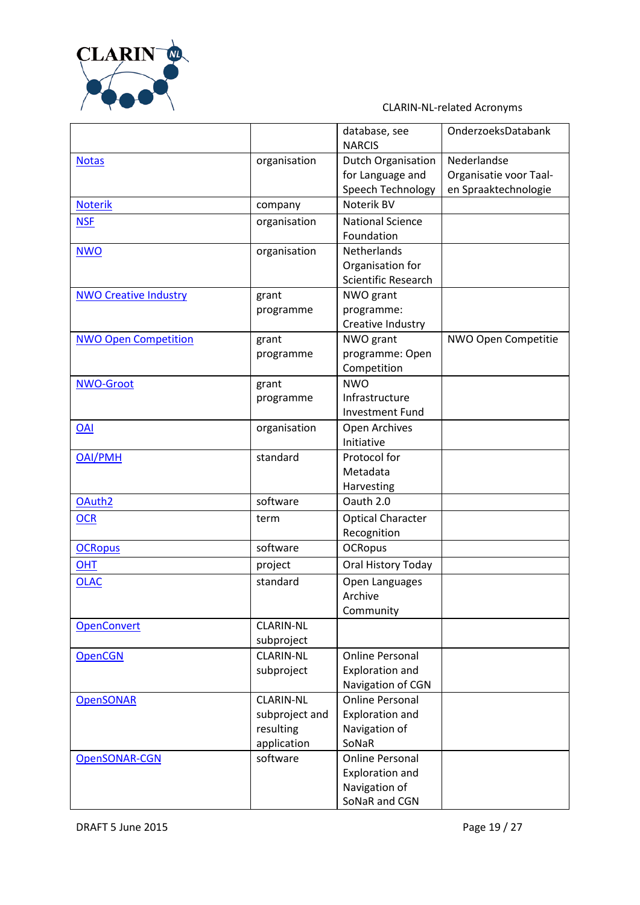

|                              |                  | database, see              | OnderzoeksDatabank     |
|------------------------------|------------------|----------------------------|------------------------|
|                              |                  | <b>NARCIS</b>              |                        |
| <b>Notas</b>                 | organisation     | <b>Dutch Organisation</b>  | Nederlandse            |
|                              |                  | for Language and           | Organisatie voor Taal- |
|                              |                  | Speech Technology          | en Spraaktechnologie   |
| <b>Noterik</b>               | company          | Noterik BV                 |                        |
| <b>NSF</b>                   | organisation     | <b>National Science</b>    |                        |
|                              |                  | Foundation                 |                        |
| <b>NWO</b>                   | organisation     | Netherlands                |                        |
|                              |                  | Organisation for           |                        |
|                              |                  | <b>Scientific Research</b> |                        |
| <b>NWO Creative Industry</b> | grant            | NWO grant                  |                        |
|                              | programme        | programme:                 |                        |
|                              |                  | Creative Industry          |                        |
| <b>NWO Open Competition</b>  | grant            | NWO grant                  | NWO Open Competitie    |
|                              | programme        | programme: Open            |                        |
|                              |                  | Competition<br><b>NWO</b>  |                        |
| NWO-Groot                    | grant            | Infrastructure             |                        |
|                              | programme        | <b>Investment Fund</b>     |                        |
| <b>OAI</b>                   | organisation     | Open Archives              |                        |
|                              |                  | Initiative                 |                        |
| <b>OAI/PMH</b>               | standard         | Protocol for               |                        |
|                              |                  | Metadata                   |                        |
|                              |                  | Harvesting                 |                        |
| OAuth <sub>2</sub>           | software         | Oauth 2.0                  |                        |
| <b>OCR</b>                   | term             | <b>Optical Character</b>   |                        |
|                              |                  | Recognition                |                        |
| <b>OCRopus</b>               | software         | <b>OCRopus</b>             |                        |
| <b>OHT</b>                   | project          | Oral History Today         |                        |
| <b>OLAC</b>                  | standard         | Open Languages             |                        |
|                              |                  | Archive                    |                        |
|                              |                  | Community                  |                        |
| <b>OpenConvert</b>           | <b>CLARIN-NL</b> |                            |                        |
|                              | subproject       |                            |                        |
| <b>OpenCGN</b>               | <b>CLARIN-NL</b> | <b>Online Personal</b>     |                        |
|                              | subproject       | <b>Exploration and</b>     |                        |
|                              |                  | Navigation of CGN          |                        |
| <b>OpenSONAR</b>             | <b>CLARIN-NL</b> | <b>Online Personal</b>     |                        |
|                              | subproject and   | <b>Exploration and</b>     |                        |
|                              | resulting        | Navigation of              |                        |
|                              | application      | SoNaR                      |                        |
| OpenSONAR-CGN                | software         | <b>Online Personal</b>     |                        |
|                              |                  | <b>Exploration and</b>     |                        |
|                              |                  | Navigation of              |                        |
|                              |                  | SoNaR and CGN              |                        |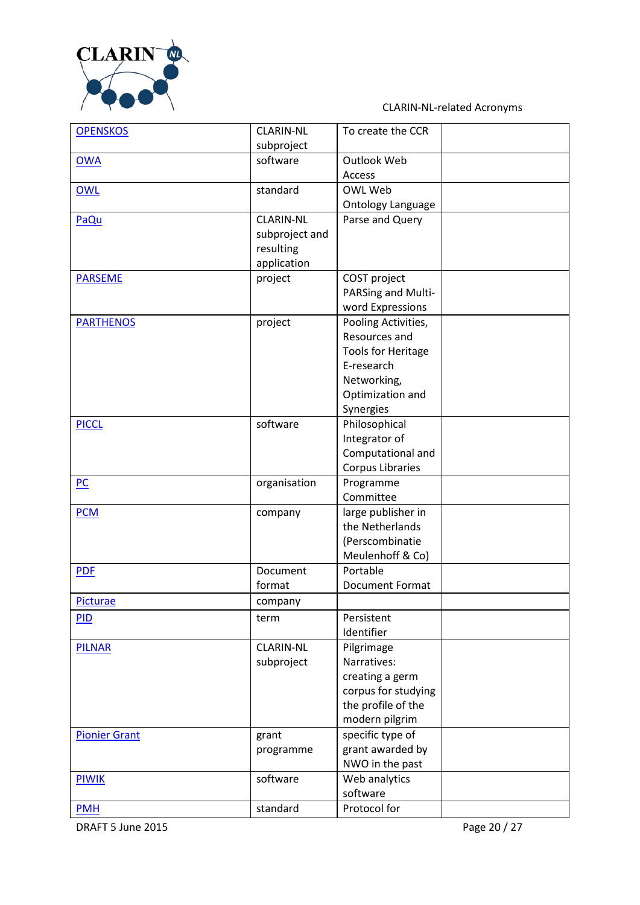

| <b>OPENSKOS</b>      | <b>CLARIN-NL</b> | To create the CCR         |  |
|----------------------|------------------|---------------------------|--|
|                      | subproject       |                           |  |
| <b>OWA</b>           | software         | Outlook Web               |  |
|                      |                  | Access                    |  |
| OWL                  | standard         | OWL Web                   |  |
|                      |                  | <b>Ontology Language</b>  |  |
| PaQu                 | <b>CLARIN-NL</b> | Parse and Query           |  |
|                      | subproject and   |                           |  |
|                      | resulting        |                           |  |
|                      | application      |                           |  |
| <b>PARSEME</b>       | project          | COST project              |  |
|                      |                  | PARSing and Multi-        |  |
|                      |                  | word Expressions          |  |
| <b>PARTHENOS</b>     | project          | Pooling Activities,       |  |
|                      |                  | Resources and             |  |
|                      |                  | <b>Tools for Heritage</b> |  |
|                      |                  | E-research                |  |
|                      |                  | Networking,               |  |
|                      |                  | Optimization and          |  |
|                      |                  | Synergies                 |  |
| <b>PICCL</b>         | software         | Philosophical             |  |
|                      |                  | Integrator of             |  |
|                      |                  | Computational and         |  |
|                      |                  | <b>Corpus Libraries</b>   |  |
| PC                   | organisation     | Programme                 |  |
|                      |                  | Committee                 |  |
| <b>PCM</b>           | company          | large publisher in        |  |
|                      |                  | the Netherlands           |  |
|                      |                  | (Perscombinatie           |  |
|                      |                  | Meulenhoff & Co)          |  |
| <b>PDF</b>           | Document         | Portable                  |  |
|                      | format           | <b>Document Format</b>    |  |
| Picturae             | company          |                           |  |
| <b>PID</b>           | term             | Persistent                |  |
|                      |                  | Identifier                |  |
| <b>PILNAR</b>        | <b>CLARIN-NL</b> | Pilgrimage                |  |
|                      | subproject       | Narratives:               |  |
|                      |                  | creating a germ           |  |
|                      |                  | corpus for studying       |  |
|                      |                  | the profile of the        |  |
|                      |                  | modern pilgrim            |  |
| <b>Pionier Grant</b> | grant            | specific type of          |  |
|                      | programme        | grant awarded by          |  |
|                      |                  | NWO in the past           |  |
| PIWIK                | software         | Web analytics             |  |
|                      |                  | software                  |  |
| <b>PMH</b>           | standard         | Protocol for              |  |

DRAFT 5 June 2015 Page 20 / 27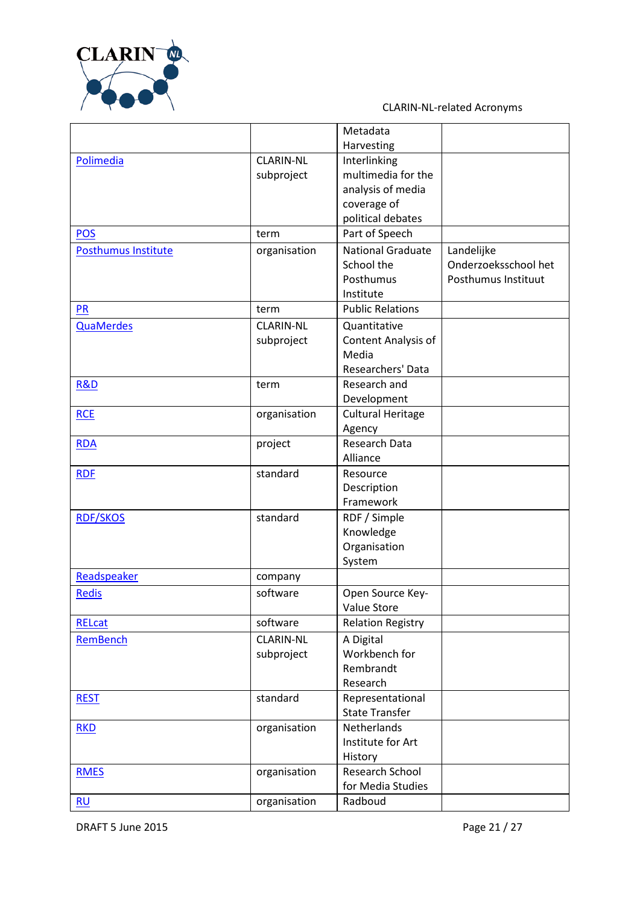

|                     |                  | Metadata                 |                      |
|---------------------|------------------|--------------------------|----------------------|
|                     |                  | Harvesting               |                      |
| Polimedia           | <b>CLARIN-NL</b> | Interlinking             |                      |
|                     | subproject       | multimedia for the       |                      |
|                     |                  | analysis of media        |                      |
|                     |                  | coverage of              |                      |
|                     |                  | political debates        |                      |
| <b>POS</b>          | term             | Part of Speech           |                      |
| Posthumus Institute | organisation     | <b>National Graduate</b> | Landelijke           |
|                     |                  | School the               | Onderzoeksschool het |
|                     |                  | Posthumus                | Posthumus Instituut  |
|                     |                  | Institute                |                      |
| <b>PR</b>           | term             | <b>Public Relations</b>  |                      |
| <b>QuaMerdes</b>    | <b>CLARIN-NL</b> | Quantitative             |                      |
|                     | subproject       | Content Analysis of      |                      |
|                     |                  | Media                    |                      |
|                     |                  | Researchers' Data        |                      |
| <b>R&amp;D</b>      | term             | Research and             |                      |
|                     |                  | Development              |                      |
| <b>RCE</b>          | organisation     | <b>Cultural Heritage</b> |                      |
|                     |                  | Agency                   |                      |
| <b>RDA</b>          | project          | Research Data            |                      |
|                     |                  | Alliance                 |                      |
| <b>RDF</b>          | standard         | Resource                 |                      |
|                     |                  | Description              |                      |
|                     |                  | Framework                |                      |
| <b>RDF/SKOS</b>     | standard         | RDF / Simple             |                      |
|                     |                  | Knowledge                |                      |
|                     |                  | Organisation             |                      |
|                     |                  | System                   |                      |
| Readspeaker         | company          |                          |                      |
| Redis               | software         | Open Source Key-         |                      |
|                     |                  | Value Store              |                      |
| <b>RELcat</b>       | software         | <b>Relation Registry</b> |                      |
| RemBench            | <b>CLARIN-NL</b> | A Digital                |                      |
|                     | subproject       | Workbench for            |                      |
|                     |                  | Rembrandt                |                      |
|                     |                  | Research                 |                      |
| <b>REST</b>         | standard         | Representational         |                      |
|                     |                  | <b>State Transfer</b>    |                      |
| <b>RKD</b>          | organisation     | Netherlands              |                      |
|                     |                  | Institute for Art        |                      |
|                     |                  | History                  |                      |
| <b>RMES</b>         | organisation     | Research School          |                      |
|                     |                  | for Media Studies        |                      |
| RU                  | organisation     | Radboud                  |                      |

DRAFT 5 June 2015 2016 2015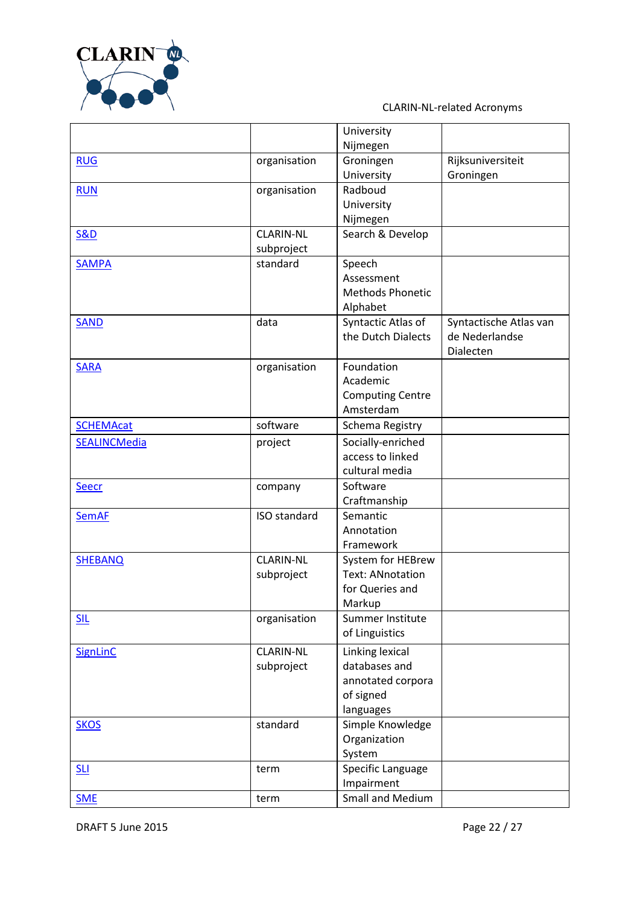

|                     |                     | University              |                        |
|---------------------|---------------------|-------------------------|------------------------|
|                     |                     | Nijmegen                |                        |
| <b>RUG</b>          | organisation        | Groningen               | Rijksuniversiteit      |
|                     |                     | University              | Groningen              |
| <b>RUN</b>          | organisation        | Radboud                 |                        |
|                     |                     | University              |                        |
|                     |                     | Nijmegen                |                        |
| <b>S&amp;D</b>      | <b>CLARIN-NL</b>    | Search & Develop        |                        |
|                     | subproject          |                         |                        |
| <b>SAMPA</b>        | standard            | Speech                  |                        |
|                     |                     | Assessment              |                        |
|                     |                     | <b>Methods Phonetic</b> |                        |
|                     |                     | Alphabet                |                        |
| <b>SAND</b>         | data                | Syntactic Atlas of      | Syntactische Atlas van |
|                     |                     | the Dutch Dialects      | de Nederlandse         |
|                     |                     |                         | Dialecten              |
| <b>SARA</b>         | organisation        | Foundation              |                        |
|                     |                     | Academic                |                        |
|                     |                     | <b>Computing Centre</b> |                        |
|                     |                     | Amsterdam               |                        |
| <b>SCHEMAcat</b>    | software            | Schema Registry         |                        |
| <b>SEALINCMedia</b> | project             | Socially-enriched       |                        |
|                     |                     | access to linked        |                        |
|                     |                     | cultural media          |                        |
| <b>Seecr</b>        | company             | Software                |                        |
|                     |                     | Craftmanship            |                        |
| <b>SemAF</b>        | <b>ISO</b> standard | Semantic                |                        |
|                     |                     | Annotation              |                        |
|                     |                     | Framework               |                        |
| <b>SHEBANQ</b>      | <b>CLARIN-NL</b>    | System for HEBrew       |                        |
|                     | subproject          | <b>Text: ANnotation</b> |                        |
|                     |                     | for Queries and         |                        |
|                     |                     | Markup                  |                        |
| <b>SIL</b>          | organisation        | Summer Institute        |                        |
|                     |                     | of Linguistics          |                        |
| SignLinC            | <b>CLARIN-NL</b>    | Linking lexical         |                        |
|                     | subproject          | databases and           |                        |
|                     |                     | annotated corpora       |                        |
|                     |                     | of signed               |                        |
|                     |                     | languages               |                        |
| <b>SKOS</b>         | standard            | Simple Knowledge        |                        |
|                     |                     | Organization            |                        |
|                     |                     | System                  |                        |
| SLI                 | term                | Specific Language       |                        |
|                     |                     | Impairment              |                        |
| <b>SME</b>          | term                | Small and Medium        |                        |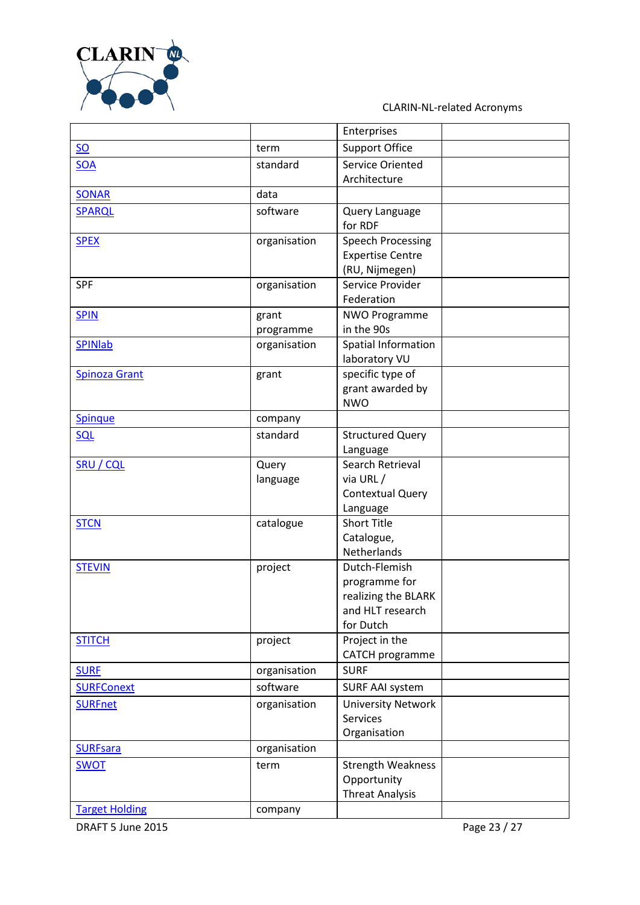

|                       |                           | Enterprises                          |  |
|-----------------------|---------------------------|--------------------------------------|--|
| $SO$                  | term                      | <b>Support Office</b>                |  |
| <b>SOA</b>            | standard                  | Service Oriented                     |  |
|                       |                           | Architecture                         |  |
| <b>SONAR</b>          | data                      |                                      |  |
| SPARQL                | software                  | Query Language                       |  |
|                       |                           | for RDF                              |  |
| <b>SPEX</b>           | organisation              | <b>Speech Processing</b>             |  |
|                       |                           | <b>Expertise Centre</b>              |  |
|                       |                           | (RU, Nijmegen)                       |  |
| <b>SPF</b>            | organisation              | Service Provider                     |  |
|                       |                           | Federation                           |  |
| <b>SPIN</b>           | grant                     | <b>NWO Programme</b><br>in the 90s   |  |
| <b>SPINIab</b>        | programme<br>organisation | Spatial Information                  |  |
|                       |                           | laboratory VU                        |  |
| <b>Spinoza Grant</b>  | grant                     | specific type of                     |  |
|                       |                           | grant awarded by                     |  |
|                       |                           | <b>NWO</b>                           |  |
| Spinque               | company                   |                                      |  |
| <b>SQL</b>            | standard                  | <b>Structured Query</b>              |  |
|                       |                           | Language                             |  |
| <b>SRU / CQL</b>      | Query                     | Search Retrieval                     |  |
|                       | language                  | via URL/                             |  |
|                       |                           | <b>Contextual Query</b>              |  |
|                       |                           | Language                             |  |
| <b>STCN</b>           | catalogue                 | <b>Short Title</b>                   |  |
|                       |                           | Catalogue,                           |  |
|                       |                           | Netherlands                          |  |
| <b>STEVIN</b>         | project                   | Dutch-Flemish                        |  |
|                       |                           | programme for<br>realizing the BLARK |  |
|                       |                           | and HLT research                     |  |
|                       |                           | for Dutch                            |  |
| <b>STITCH</b>         | project                   | Project in the                       |  |
|                       |                           | CATCH programme                      |  |
| <b>SURF</b>           | organisation              | <b>SURF</b>                          |  |
| <b>SURFConext</b>     | software                  | <b>SURF AAI system</b>               |  |
| <b>SURFnet</b>        | organisation              | <b>University Network</b>            |  |
|                       |                           | <b>Services</b>                      |  |
|                       |                           | Organisation                         |  |
| <b>SURFsara</b>       | organisation              |                                      |  |
| <b>SWOT</b>           | term                      | <b>Strength Weakness</b>             |  |
|                       |                           | Opportunity                          |  |
|                       |                           | <b>Threat Analysis</b>               |  |
| <b>Target Holding</b> | company                   |                                      |  |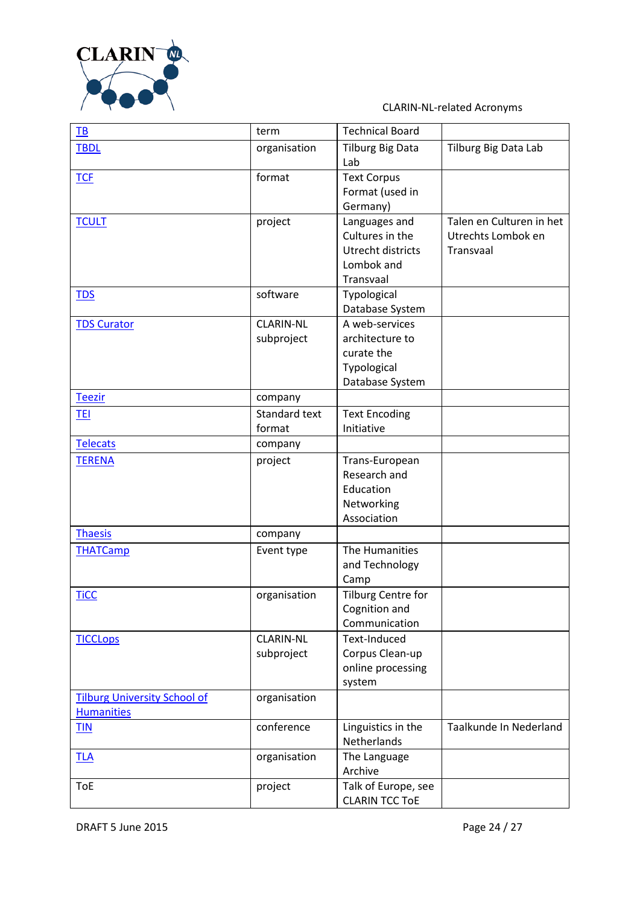

| TB                                  | term             | <b>Technical Board</b>             |                          |
|-------------------------------------|------------------|------------------------------------|--------------------------|
| <b>TBDL</b>                         | organisation     | <b>Tilburg Big Data</b>            | Tilburg Big Data Lab     |
|                                     |                  | Lab                                |                          |
| <b>TCF</b>                          | format           | <b>Text Corpus</b>                 |                          |
|                                     |                  | Format (used in                    |                          |
|                                     |                  | Germany)                           |                          |
| <b>TCULT</b>                        | project          | Languages and                      | Talen en Culturen in het |
|                                     |                  | Cultures in the                    | Utrechts Lombok en       |
|                                     |                  | Utrecht districts                  | Transvaal                |
|                                     |                  | Lombok and                         |                          |
|                                     |                  | Transvaal                          |                          |
| <b>TDS</b>                          | software         | Typological                        |                          |
|                                     |                  | Database System                    |                          |
| <b>TDS Curator</b>                  | <b>CLARIN-NL</b> | A web-services                     |                          |
|                                     | subproject       | architecture to                    |                          |
|                                     |                  | curate the                         |                          |
|                                     |                  | Typological                        |                          |
| <b>Teezir</b>                       |                  | Database System                    |                          |
|                                     | company          |                                    |                          |
| <b>TEI</b>                          | Standard text    | <b>Text Encoding</b><br>Initiative |                          |
|                                     | format           |                                    |                          |
| <b>Telecats</b>                     | company          |                                    |                          |
| <b>TERENA</b>                       | project          | Trans-European                     |                          |
|                                     |                  | Research and                       |                          |
|                                     |                  | Education                          |                          |
|                                     |                  | Networking<br>Association          |                          |
| <b>Thaesis</b>                      | company          |                                    |                          |
|                                     |                  | The Humanities                     |                          |
| <b>THATCamp</b>                     | Event type       | and Technology                     |                          |
|                                     |                  | Camp                               |                          |
| <b>TiCC</b>                         | organisation     | Tilburg Centre for                 |                          |
|                                     |                  | Cognition and                      |                          |
|                                     |                  | Communication                      |                          |
| <b>TICCLOPS</b>                     | <b>CLARIN-NL</b> | Text-Induced                       |                          |
|                                     | subproject       | Corpus Clean-up                    |                          |
|                                     |                  | online processing                  |                          |
|                                     |                  | system                             |                          |
| <b>Tilburg University School of</b> | organisation     |                                    |                          |
| <b>Humanities</b>                   |                  |                                    |                          |
| <b>TIN</b>                          | conference       | Linguistics in the                 | Taalkunde In Nederland   |
|                                     |                  | Netherlands                        |                          |
| <b>TLA</b>                          | organisation     | The Language                       |                          |
|                                     |                  | Archive                            |                          |
| <b>ToE</b>                          | project          | Talk of Europe, see                |                          |
|                                     |                  | <b>CLARIN TCC TOE</b>              |                          |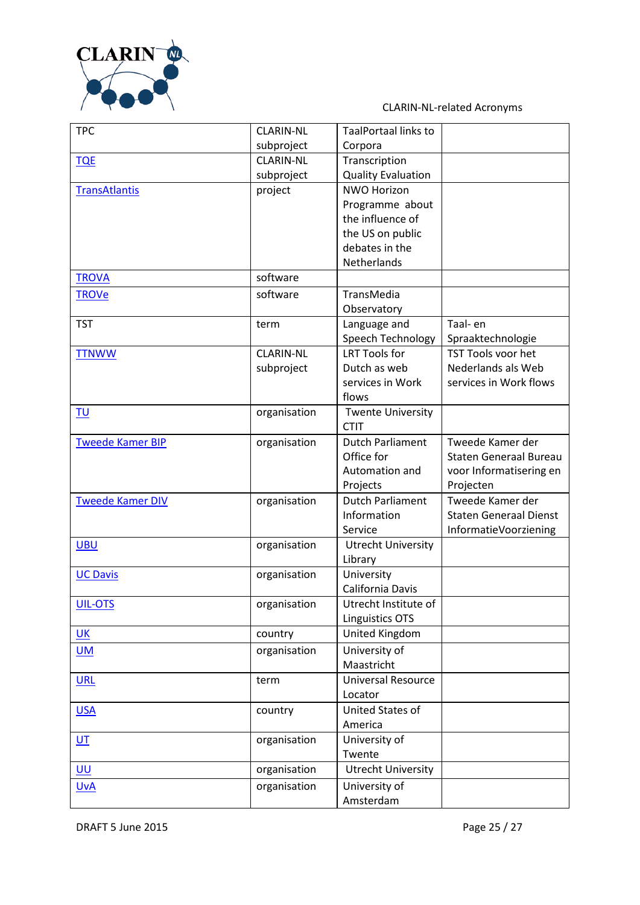

| <b>TPC</b>              | <b>CLARIN-NL</b> | TaalPortaal links to      |                               |
|-------------------------|------------------|---------------------------|-------------------------------|
|                         | subproject       | Corpora                   |                               |
| <b>TQE</b>              | <b>CLARIN-NL</b> | Transcription             |                               |
|                         | subproject       | <b>Quality Evaluation</b> |                               |
| <b>TransAtlantis</b>    | project          | <b>NWO Horizon</b>        |                               |
|                         |                  | Programme about           |                               |
|                         |                  | the influence of          |                               |
|                         |                  | the US on public          |                               |
|                         |                  | debates in the            |                               |
|                         |                  | Netherlands               |                               |
| <b>TROVA</b>            | software         |                           |                               |
| <b>TROVe</b>            | software         | TransMedia                |                               |
|                         |                  | Observatory               |                               |
| <b>TST</b>              | term             | Language and              | Taal- en                      |
|                         |                  | Speech Technology         | Spraaktechnologie             |
|                         | <b>CLARIN-NL</b> | <b>LRT Tools for</b>      | TST Tools voor het            |
| <b>TTNWW</b>            |                  | Dutch as web              | Nederlands als Web            |
|                         | subproject       | services in Work          | services in Work flows        |
|                         |                  | flows                     |                               |
|                         |                  |                           |                               |
| <b>TU</b>               | organisation     | <b>Twente University</b>  |                               |
|                         |                  | <b>CTIT</b>               |                               |
| <b>Tweede Kamer BIP</b> | organisation     | <b>Dutch Parliament</b>   | Tweede Kamer der              |
|                         |                  | Office for                | <b>Staten Generaal Bureau</b> |
|                         |                  | Automation and            | voor Informatisering en       |
|                         |                  | Projects                  | Projecten                     |
| <b>Tweede Kamer DIV</b> | organisation     | <b>Dutch Parliament</b>   | Tweede Kamer der              |
|                         |                  | Information               | <b>Staten Generaal Dienst</b> |
|                         |                  | Service                   | InformatieVoorziening         |
| <b>UBU</b>              | organisation     | <b>Utrecht University</b> |                               |
|                         |                  | Library                   |                               |
| <b>UC Davis</b>         | organisation     | University                |                               |
|                         |                  | California Davis          |                               |
| UIL-OTS                 | organisation     | Utrecht Institute of      |                               |
|                         |                  | Linguistics OTS           |                               |
| <b>UK</b>               | country          | United Kingdom            |                               |
| $UM$                    | organisation     | University of             |                               |
|                         |                  | Maastricht                |                               |
| <b>URL</b>              | term             | <b>Universal Resource</b> |                               |
|                         |                  | Locator                   |                               |
| <b>USA</b>              | country          | United States of          |                               |
|                         |                  | America                   |                               |
| $U$ <sup>T</sup>        | organisation     | University of             |                               |
|                         |                  | Twente                    |                               |
| UU                      | organisation     | <b>Utrecht University</b> |                               |
| <b>UvA</b>              | organisation     | University of             |                               |
|                         |                  | Amsterdam                 |                               |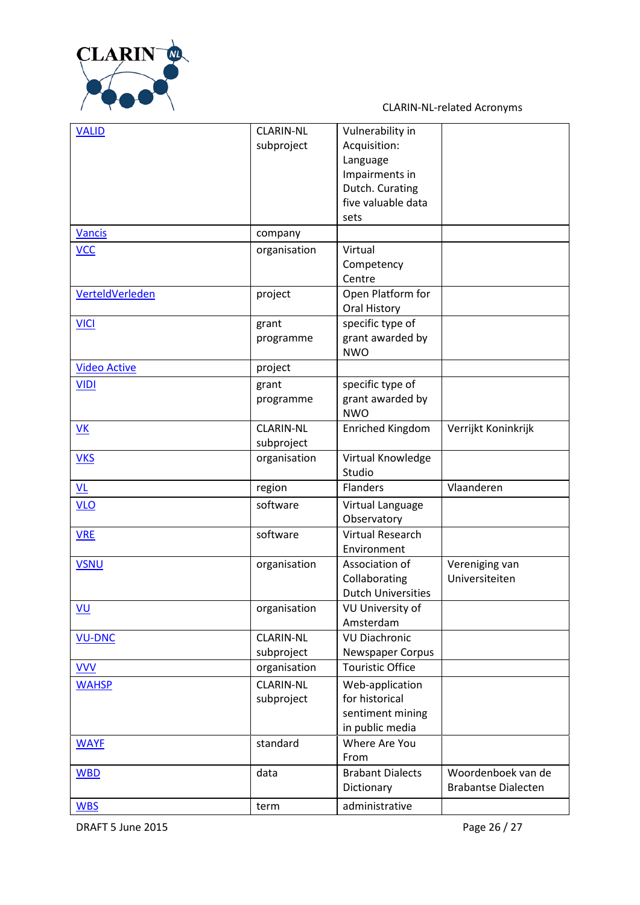

| <b>VALID</b>        | <b>CLARIN-NL</b> | Vulnerability in                  |                            |
|---------------------|------------------|-----------------------------------|----------------------------|
|                     | subproject       | Acquisition:                      |                            |
|                     |                  | Language                          |                            |
|                     |                  | Impairments in                    |                            |
|                     |                  | Dutch. Curating                   |                            |
|                     |                  | five valuable data                |                            |
|                     |                  | sets                              |                            |
| <b>Vancis</b>       | company          |                                   |                            |
| <b>VCC</b>          | organisation     | Virtual                           |                            |
|                     |                  |                                   |                            |
|                     |                  | Competency                        |                            |
|                     |                  | Centre                            |                            |
| VerteldVerleden     | project          | Open Platform for                 |                            |
|                     |                  | Oral History                      |                            |
| <b>VICI</b>         | grant            | specific type of                  |                            |
|                     | programme        | grant awarded by                  |                            |
|                     |                  | <b>NWO</b>                        |                            |
| <b>Video Active</b> | project          |                                   |                            |
| <b>VIDI</b>         | grant            | specific type of                  |                            |
|                     | programme        | grant awarded by                  |                            |
|                     |                  | <b>NWO</b>                        |                            |
| VK                  | <b>CLARIN-NL</b> | <b>Enriched Kingdom</b>           | Verrijkt Koninkrijk        |
|                     | subproject       |                                   |                            |
| <b>VKS</b>          | organisation     | Virtual Knowledge                 |                            |
|                     |                  | Studio                            |                            |
| <u>VL</u>           | region           | Flanders                          | Vlaanderen                 |
| <b>VLO</b>          | software         | Virtual Language                  |                            |
|                     |                  | Observatory                       |                            |
| <b>VRE</b>          | software         | Virtual Research                  |                            |
|                     |                  | Environment                       |                            |
| <b>VSNU</b>         | organisation     | Association of                    | Vereniging van             |
|                     |                  | Collaborating                     | Universiteiten             |
|                     |                  | <b>Dutch Universities</b>         |                            |
| <u>VU</u>           | organisation     | <b>VU University of</b>           |                            |
|                     |                  | Amsterdam                         |                            |
| <b>VU-DNC</b>       | <b>CLARIN-NL</b> | <b>VU Diachronic</b>              |                            |
|                     | subproject       | Newspaper Corpus                  |                            |
| <b>VVV</b>          | organisation     | <b>Touristic Office</b>           |                            |
|                     | <b>CLARIN-NL</b> |                                   |                            |
| <b>WAHSP</b>        |                  | Web-application<br>for historical |                            |
|                     | subproject       |                                   |                            |
|                     |                  | sentiment mining                  |                            |
|                     |                  | in public media                   |                            |
| <b>WAYF</b>         | standard         | Where Are You                     |                            |
|                     |                  | From                              |                            |
| <b>WBD</b>          | data             | <b>Brabant Dialects</b>           | Woordenboek van de         |
|                     |                  | Dictionary                        | <b>Brabantse Dialecten</b> |
| <b>WBS</b>          | term             | administrative                    |                            |

DRAFT 5 June 2015 2015